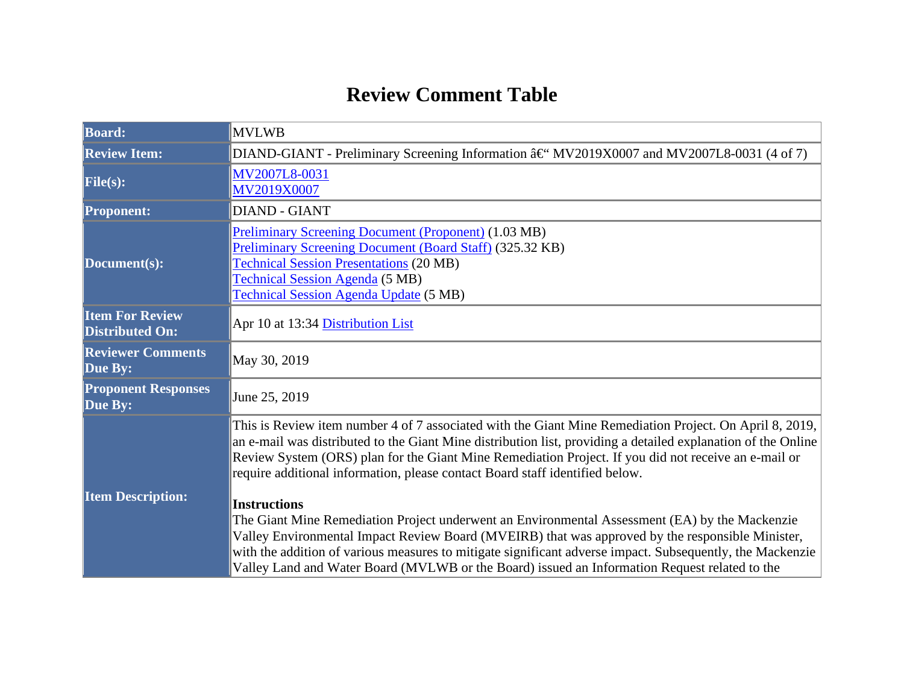## **Review Comment Table**

| <b>Board:</b>                                    | <b>MVLWB</b>                                                                                                                                                                                                                                                                                                                                                                                                                                                                                                                                                                                                                                                                                                                                                                                                                                                |  |  |  |
|--------------------------------------------------|-------------------------------------------------------------------------------------------------------------------------------------------------------------------------------------------------------------------------------------------------------------------------------------------------------------------------------------------------------------------------------------------------------------------------------------------------------------------------------------------------------------------------------------------------------------------------------------------------------------------------------------------------------------------------------------------------------------------------------------------------------------------------------------------------------------------------------------------------------------|--|--|--|
| <b>Review Item:</b>                              | DIAND-GIANT - Preliminary Screening Information †MV2019X0007 and MV2007L8-0031 (4 of 7)                                                                                                                                                                                                                                                                                                                                                                                                                                                                                                                                                                                                                                                                                                                                                                     |  |  |  |
| File(s):                                         | MV2007L8-0031<br>MV2019X0007                                                                                                                                                                                                                                                                                                                                                                                                                                                                                                                                                                                                                                                                                                                                                                                                                                |  |  |  |
| <b>Proponent:</b>                                | <b>DIAND - GIANT</b>                                                                                                                                                                                                                                                                                                                                                                                                                                                                                                                                                                                                                                                                                                                                                                                                                                        |  |  |  |
| Document(s):                                     | <b>Preliminary Screening Document (Proponent) (1.03 MB)</b><br>Preliminary Screening Document (Board Staff) (325.32 KB)<br><b>Technical Session Presentations (20 MB)</b><br><b>Technical Session Agenda</b> (5 MB)<br><b>Technical Session Agenda Update (5 MB)</b>                                                                                                                                                                                                                                                                                                                                                                                                                                                                                                                                                                                        |  |  |  |
| <b>Item For Review</b><br><b>Distributed On:</b> | Apr 10 at 13:34 Distribution List                                                                                                                                                                                                                                                                                                                                                                                                                                                                                                                                                                                                                                                                                                                                                                                                                           |  |  |  |
| <b>Reviewer Comments</b><br>Due By:              | May 30, 2019                                                                                                                                                                                                                                                                                                                                                                                                                                                                                                                                                                                                                                                                                                                                                                                                                                                |  |  |  |
| <b>Proponent Responses</b><br>Due By:            | June 25, 2019                                                                                                                                                                                                                                                                                                                                                                                                                                                                                                                                                                                                                                                                                                                                                                                                                                               |  |  |  |
| <b>Item Description:</b>                         | This is Review item number 4 of 7 associated with the Giant Mine Remediation Project. On April 8, 2019,<br>an e-mail was distributed to the Giant Mine distribution list, providing a detailed explanation of the Online<br>Review System (ORS) plan for the Giant Mine Remediation Project. If you did not receive an e-mail or<br>require additional information, please contact Board staff identified below.<br><b>Instructions</b><br>The Giant Mine Remediation Project underwent an Environmental Assessment (EA) by the Mackenzie<br>Valley Environmental Impact Review Board (MVEIRB) that was approved by the responsible Minister,<br>with the addition of various measures to mitigate significant adverse impact. Subsequently, the Mackenzie<br>Valley Land and Water Board (MVLWB or the Board) issued an Information Request related to the |  |  |  |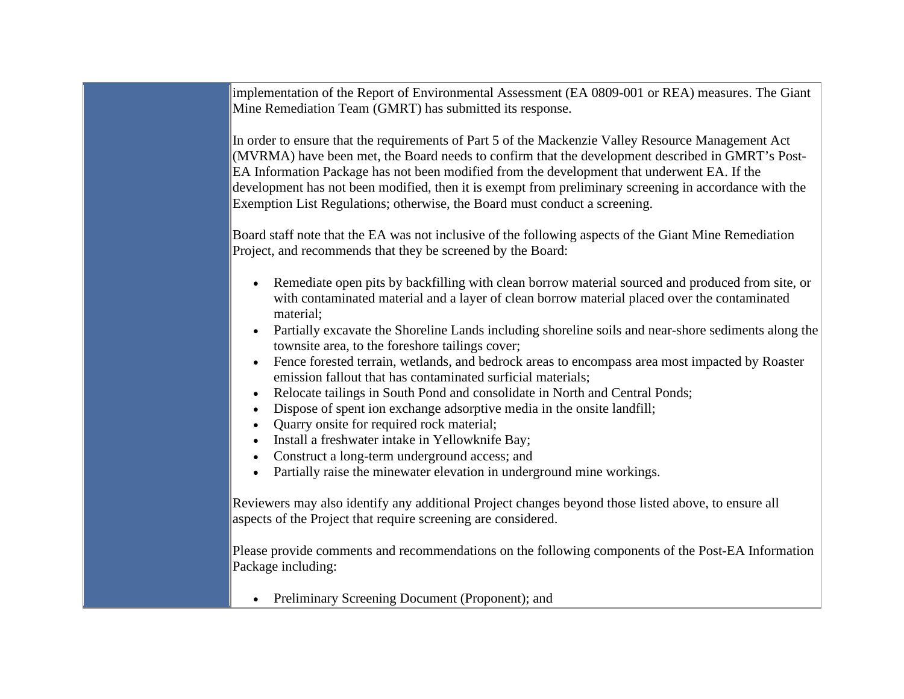implementation of the Report of Environmental Assessment (EA 0809-001 or REA) measures. The Giant Mine Remediation Team (GMRT) has submitted its response.

In order to ensure that the requirements of Part 5 of the Mackenzie Valley Resource Management Act (MVRMA) have been met, the Board needs to confirm that the development described in GMRT's Post-EA Information Package has not been modified from the development that underwent EA. If the development has not been modified, then it is exempt from preliminary screening in accordance with the Exemption List Regulations; otherwise, the Board must conduct a screening.

Board staff note that the EA was not inclusive of the following aspects of the Giant Mine Remediation Project, and recommends that they be screened by the Board:

- Remediate open pits by backfilling with clean borrow material sourced and produced from site, or with contaminated material and a layer of clean borrow material placed over the contaminated material;
- Partially excavate the Shoreline Lands including shoreline soils and near-shore sediments along the townsite area, to the foreshore tailings cover;
- Fence forested terrain, wetlands, and bedrock areas to encompass area most impacted by Roaster emission fallout that has contaminated surficial materials;
- Relocate tailings in South Pond and consolidate in North and Central Ponds;
- Dispose of spent ion exchange adsorptive media in the onsite landfill;
- Quarry onsite for required rock material;
- Install a freshwater intake in Yellowknife Bay;
- Construct a long-term underground access; and
- Partially raise the minewater elevation in underground mine workings.

Reviewers may also identify any additional Project changes beyond those listed above, to ensure all aspects of the Project that require screening are considered.

Please provide comments and recommendations on the following components of the Post-EA Information Package including:

• Preliminary Screening Document (Proponent); and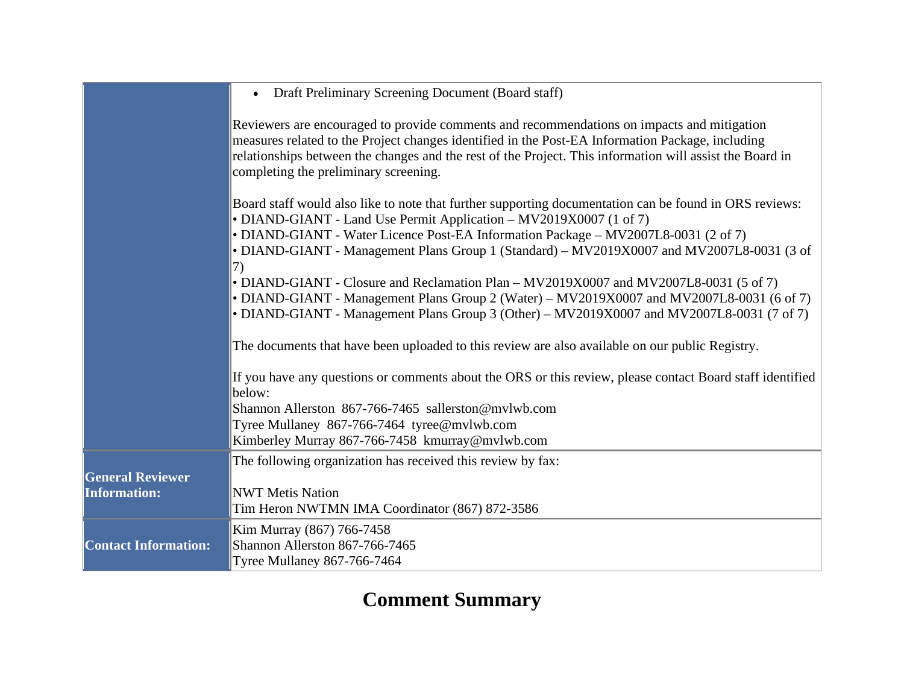|                                                | Draft Preliminary Screening Document (Board staff)<br>$\bullet$                                                                                                                                                                                                                                                                                     |
|------------------------------------------------|-----------------------------------------------------------------------------------------------------------------------------------------------------------------------------------------------------------------------------------------------------------------------------------------------------------------------------------------------------|
|                                                | Reviewers are encouraged to provide comments and recommendations on impacts and mitigation<br>measures related to the Project changes identified in the Post-EA Information Package, including<br>relationships between the changes and the rest of the Project. This information will assist the Board in<br>completing the preliminary screening. |
|                                                | Board staff would also like to note that further supporting documentation can be found in ORS reviews:<br>• DIAND-GIANT - Land Use Permit Application - MV2019X0007 (1 of 7)                                                                                                                                                                        |
|                                                | • DIAND-GIANT - Water Licence Post-EA Information Package - MV2007L8-0031 (2 of 7)<br>• DIAND-GIANT - Management Plans Group 1 (Standard) - MV2019X0007 and MV2007L8-0031 (3 of<br>7)                                                                                                                                                               |
|                                                | • DIAND-GIANT - Closure and Reclamation Plan – MV2019X0007 and MV2007L8-0031 (5 of 7)<br>• DIAND-GIANT - Management Plans Group 2 (Water) - MV2019X0007 and MV2007L8-0031 (6 of 7)                                                                                                                                                                  |
|                                                | • DIAND-GIANT - Management Plans Group 3 (Other) – MV2019X0007 and MV2007L8-0031 (7 of 7)<br>The documents that have been uploaded to this review are also available on our public Registry.                                                                                                                                                        |
|                                                | If you have any questions or comments about the ORS or this review, please contact Board staff identified<br>below:                                                                                                                                                                                                                                 |
|                                                | Shannon Allerston 867-766-7465 sallerston@mvlwb.com<br>Tyree Mullaney 867-766-7464 tyree@mvlwb.com                                                                                                                                                                                                                                                  |
|                                                | Kimberley Murray 867-766-7458 kmurray@mvlwb.com                                                                                                                                                                                                                                                                                                     |
| <b>General Reviewer</b><br><b>Information:</b> | The following organization has received this review by fax:<br><b>NWT Metis Nation</b><br>Tim Heron NWTMN IMA Coordinator (867) 872-3586                                                                                                                                                                                                            |
| <b>Contact Information:</b>                    | Kim Murray (867) 766-7458<br>Shannon Allerston 867-766-7465<br><b>Tyree Mullaney 867-766-7464</b>                                                                                                                                                                                                                                                   |

## **Comment Summary**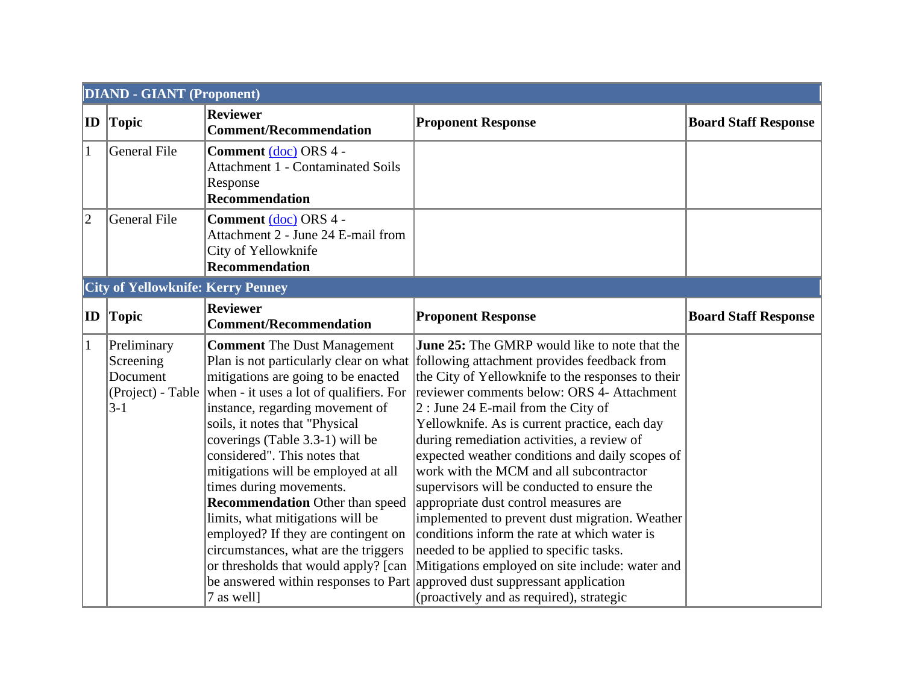|                | <b>DIAND - GIANT (Proponent)</b>                                     |                                                                                                                                                                                                                                                                                                                                                                                                                                                                                                                                                   |                                                                                                                                                                                                                                                                                                                                                                                                                                                                                                                                                                                                                                                                                                                                                                                                                                                                                                      |                             |  |  |
|----------------|----------------------------------------------------------------------|---------------------------------------------------------------------------------------------------------------------------------------------------------------------------------------------------------------------------------------------------------------------------------------------------------------------------------------------------------------------------------------------------------------------------------------------------------------------------------------------------------------------------------------------------|------------------------------------------------------------------------------------------------------------------------------------------------------------------------------------------------------------------------------------------------------------------------------------------------------------------------------------------------------------------------------------------------------------------------------------------------------------------------------------------------------------------------------------------------------------------------------------------------------------------------------------------------------------------------------------------------------------------------------------------------------------------------------------------------------------------------------------------------------------------------------------------------------|-----------------------------|--|--|
| $ {\bf ID} $   | Topic                                                                | <b>Reviewer</b><br><b>Comment/Recommendation</b>                                                                                                                                                                                                                                                                                                                                                                                                                                                                                                  | <b>Proponent Response</b>                                                                                                                                                                                                                                                                                                                                                                                                                                                                                                                                                                                                                                                                                                                                                                                                                                                                            | <b>Board Staff Response</b> |  |  |
| 1              | General File                                                         | Comment (doc) ORS 4 -<br><b>Attachment 1 - Contaminated Soils</b><br>Response<br><b>Recommendation</b>                                                                                                                                                                                                                                                                                                                                                                                                                                            |                                                                                                                                                                                                                                                                                                                                                                                                                                                                                                                                                                                                                                                                                                                                                                                                                                                                                                      |                             |  |  |
| $\overline{2}$ | General File                                                         | Comment (doc) ORS 4 -<br>Attachment 2 - June 24 E-mail from<br>City of Yellowknife<br><b>Recommendation</b>                                                                                                                                                                                                                                                                                                                                                                                                                                       |                                                                                                                                                                                                                                                                                                                                                                                                                                                                                                                                                                                                                                                                                                                                                                                                                                                                                                      |                             |  |  |
|                | <b>City of Yellowknife: Kerry Penney</b>                             |                                                                                                                                                                                                                                                                                                                                                                                                                                                                                                                                                   |                                                                                                                                                                                                                                                                                                                                                                                                                                                                                                                                                                                                                                                                                                                                                                                                                                                                                                      |                             |  |  |
| $ {\bf ID} $   | <b>Topic</b>                                                         | <b>Reviewer</b><br><b>Comment/Recommendation</b>                                                                                                                                                                                                                                                                                                                                                                                                                                                                                                  | <b>Proponent Response</b>                                                                                                                                                                                                                                                                                                                                                                                                                                                                                                                                                                                                                                                                                                                                                                                                                                                                            | <b>Board Staff Response</b> |  |  |
| $\mathbf{1}$   | Preliminary<br>Screening<br>Document<br>(Project) - Table<br>$ 3-1 $ | <b>Comment</b> The Dust Management<br>mitigations are going to be enacted<br>when - it uses a lot of qualifiers. For<br>instance, regarding movement of<br>soils, it notes that "Physical<br>coverings (Table 3.3-1) will be<br>considered". This notes that<br>mitigations will be employed at all<br>times during movements.<br><b>Recommendation</b> Other than speed<br>limits, what mitigations will be<br>employed? If they are contingent on<br>circumstances, what are the triggers<br>or thresholds that would apply? [can<br>7 as well] | <b>June 25:</b> The GMRP would like to note that the<br>Plan is not particularly clear on what following attachment provides feedback from<br>the City of Yellowknife to the responses to their<br>reviewer comments below: ORS 4- Attachment<br>$2:$ June 24 E-mail from the City of<br>Yellowknife. As is current practice, each day<br>during remediation activities, a review of<br>expected weather conditions and daily scopes of<br>work with the MCM and all subcontractor<br>supervisors will be conducted to ensure the<br>appropriate dust control measures are<br>implemented to prevent dust migration. Weather<br>conditions inform the rate at which water is<br>needed to be applied to specific tasks.<br>Mitigations employed on site include: water and<br>be answered within responses to Part approved dust suppressant application<br>(proactively and as required), strategic |                             |  |  |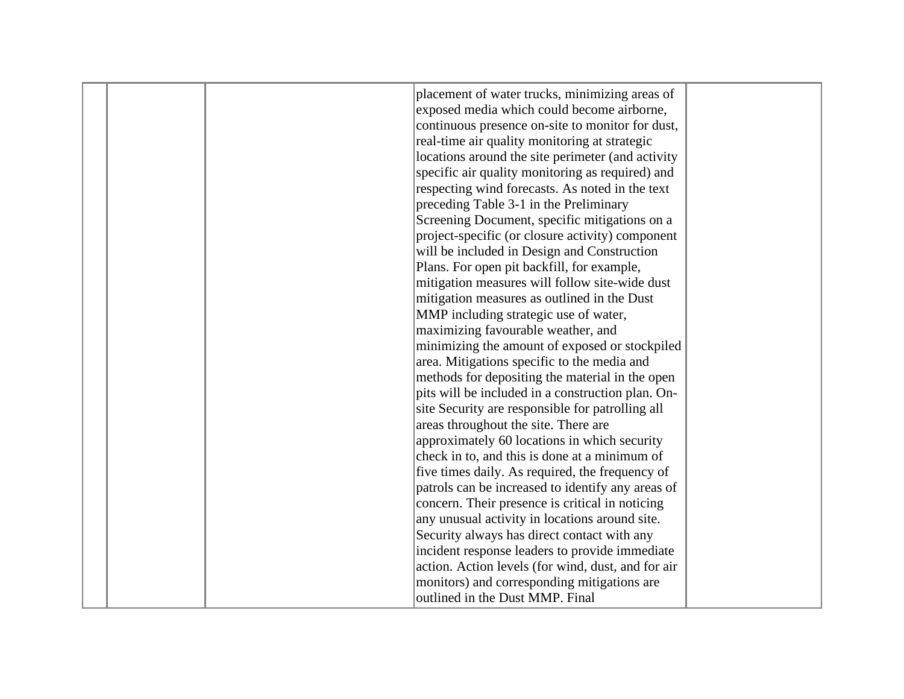|  | placement of water trucks, minimizing areas of     |  |
|--|----------------------------------------------------|--|
|  | exposed media which could become airborne,         |  |
|  | continuous presence on-site to monitor for dust,   |  |
|  | real-time air quality monitoring at strategic      |  |
|  | locations around the site perimeter (and activity  |  |
|  | specific air quality monitoring as required) and   |  |
|  | respecting wind forecasts. As noted in the text    |  |
|  | preceding Table 3-1 in the Preliminary             |  |
|  | Screening Document, specific mitigations on a      |  |
|  | project-specific (or closure activity) component   |  |
|  | will be included in Design and Construction        |  |
|  | Plans. For open pit backfill, for example,         |  |
|  | mitigation measures will follow site-wide dust     |  |
|  | mitigation measures as outlined in the Dust        |  |
|  | MMP including strategic use of water,              |  |
|  | maximizing favourable weather, and                 |  |
|  | minimizing the amount of exposed or stockpiled     |  |
|  | area. Mitigations specific to the media and        |  |
|  | methods for depositing the material in the open    |  |
|  | pits will be included in a construction plan. On-  |  |
|  | site Security are responsible for patrolling all   |  |
|  | areas throughout the site. There are               |  |
|  | approximately 60 locations in which security       |  |
|  | check in to, and this is done at a minimum of      |  |
|  | five times daily. As required, the frequency of    |  |
|  | patrols can be increased to identify any areas of  |  |
|  | concern. Their presence is critical in noticing    |  |
|  | any unusual activity in locations around site.     |  |
|  | Security always has direct contact with any        |  |
|  | incident response leaders to provide immediate     |  |
|  | action. Action levels (for wind, dust, and for air |  |
|  | monitors) and corresponding mitigations are        |  |
|  | outlined in the Dust MMP. Final                    |  |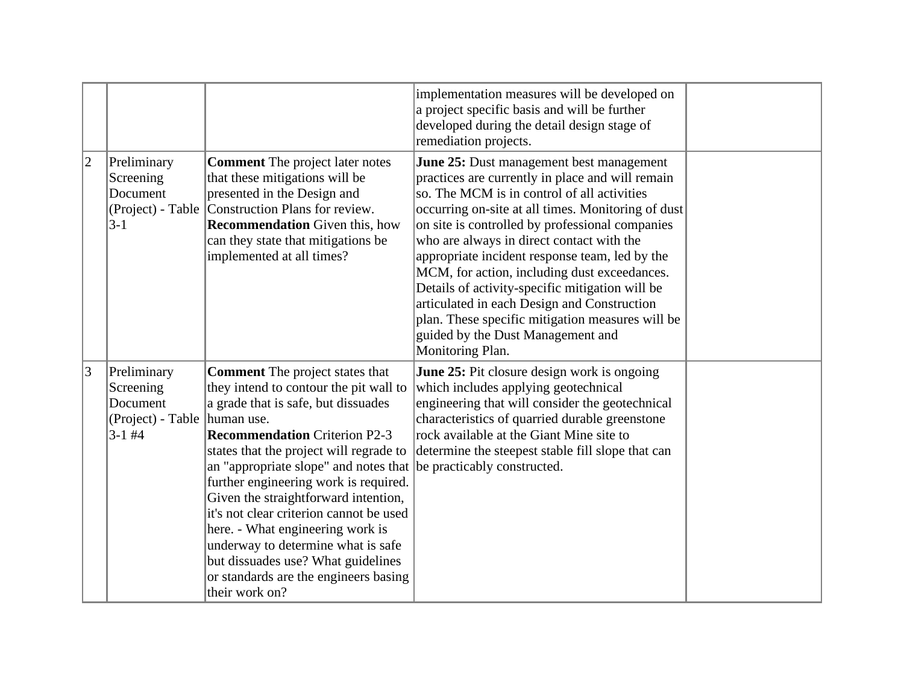|                 |                                                                                    |                                                                                                                                                                                                                                                                                                                                                                                                                                                                                                                                                            | implementation measures will be developed on<br>a project specific basis and will be further<br>developed during the detail design stage of<br>remediation projects.                                                                                                                                                                                                                                                                                                                                                                                                                                               |  |
|-----------------|------------------------------------------------------------------------------------|------------------------------------------------------------------------------------------------------------------------------------------------------------------------------------------------------------------------------------------------------------------------------------------------------------------------------------------------------------------------------------------------------------------------------------------------------------------------------------------------------------------------------------------------------------|--------------------------------------------------------------------------------------------------------------------------------------------------------------------------------------------------------------------------------------------------------------------------------------------------------------------------------------------------------------------------------------------------------------------------------------------------------------------------------------------------------------------------------------------------------------------------------------------------------------------|--|
| $ 2\rangle$     | Preliminary<br>Screening<br>Document<br>$ 3-1 $                                    | <b>Comment</b> The project later notes<br>that these mitigations will be<br>presented in the Design and<br>(Project) - Table   Construction Plans for review.<br><b>Recommendation</b> Given this, how<br>can they state that mitigations be<br>implemented at all times?                                                                                                                                                                                                                                                                                  | June 25: Dust management best management<br>practices are currently in place and will remain<br>so. The MCM is in control of all activities<br>occurring on-site at all times. Monitoring of dust<br>on site is controlled by professional companies<br>who are always in direct contact with the<br>appropriate incident response team, led by the<br>MCM, for action, including dust exceedances.<br>Details of activity-specific mitigation will be<br>articulated in each Design and Construction<br>plan. These specific mitigation measures will be<br>guided by the Dust Management and<br>Monitoring Plan. |  |
| $\vert 3 \vert$ | Preliminary<br>Screening<br>Document<br>(Project) - Table   human use.<br>$3-1$ #4 | <b>Comment</b> The project states that<br>they intend to contour the pit wall to<br>a grade that is safe, but dissuades<br><b>Recommendation Criterion P2-3</b><br>states that the project will regrade to<br>an "appropriate slope" and notes that<br>further engineering work is required.<br>Given the straightforward intention,<br>it's not clear criterion cannot be used<br>here. - What engineering work is<br>underway to determine what is safe<br>but dissuades use? What guidelines<br>or standards are the engineers basing<br>their work on? | June 25: Pit closure design work is ongoing<br>which includes applying geotechnical<br>engineering that will consider the geotechnical<br>characteristics of quarried durable greenstone<br>rock available at the Giant Mine site to<br>determine the steepest stable fill slope that can<br>be practicably constructed.                                                                                                                                                                                                                                                                                           |  |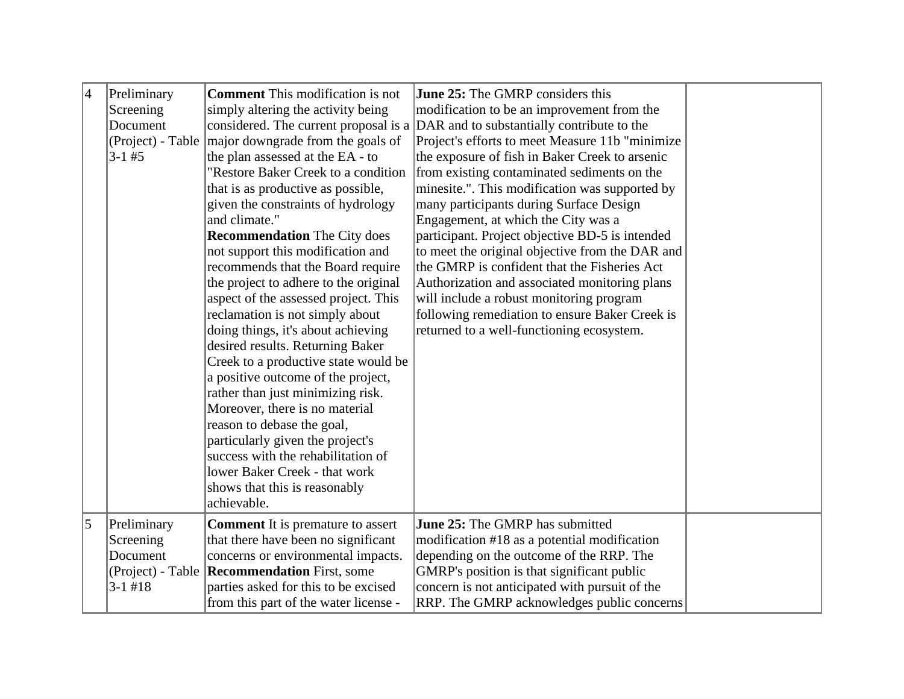| $\overline{4}$ | Preliminary<br>Screening | <b>Comment</b> This modification is not<br>simply altering the activity being | <b>June 25:</b> The GMRP considers this<br>modification to be an improvement from the |  |
|----------------|--------------------------|-------------------------------------------------------------------------------|---------------------------------------------------------------------------------------|--|
|                | Document                 | considered. The current proposal is a                                         | DAR and to substantially contribute to the                                            |  |
|                | (Project) - Table        | major downgrade from the goals of                                             | Project's efforts to meet Measure 11b "minimize"                                      |  |
|                | $3 - 1 \# 5$             | the plan assessed at the EA - to                                              | the exposure of fish in Baker Creek to arsenic                                        |  |
|                |                          | "Restore Baker Creek to a condition                                           | from existing contaminated sediments on the                                           |  |
|                |                          | that is as productive as possible,                                            | minesite.". This modification was supported by                                        |  |
|                |                          | given the constraints of hydrology                                            | many participants during Surface Design                                               |  |
|                |                          | and climate."                                                                 | Engagement, at which the City was a                                                   |  |
|                |                          | <b>Recommendation</b> The City does                                           | participant. Project objective BD-5 is intended                                       |  |
|                |                          | not support this modification and                                             | to meet the original objective from the DAR and                                       |  |
|                |                          | recommends that the Board require                                             | the GMRP is confident that the Fisheries Act                                          |  |
|                |                          | the project to adhere to the original                                         | Authorization and associated monitoring plans                                         |  |
|                |                          | aspect of the assessed project. This                                          | will include a robust monitoring program                                              |  |
|                |                          | reclamation is not simply about                                               | following remediation to ensure Baker Creek is                                        |  |
|                |                          | doing things, it's about achieving                                            | returned to a well-functioning ecosystem.                                             |  |
|                |                          | desired results. Returning Baker                                              |                                                                                       |  |
|                |                          | Creek to a productive state would be                                          |                                                                                       |  |
|                |                          | a positive outcome of the project,                                            |                                                                                       |  |
|                |                          | rather than just minimizing risk.                                             |                                                                                       |  |
|                |                          | Moreover, there is no material                                                |                                                                                       |  |
|                |                          | reason to debase the goal,                                                    |                                                                                       |  |
|                |                          | particularly given the project's                                              |                                                                                       |  |
|                |                          | success with the rehabilitation of                                            |                                                                                       |  |
|                |                          | lower Baker Creek - that work                                                 |                                                                                       |  |
|                |                          | shows that this is reasonably                                                 |                                                                                       |  |
|                |                          | achievable.                                                                   |                                                                                       |  |
| 5              | Preliminary              | <b>Comment</b> It is premature to assert                                      | June 25: The GMRP has submitted                                                       |  |
|                | Screening                | that there have been no significant                                           | modification #18 as a potential modification                                          |  |
|                | Document                 | concerns or environmental impacts.                                            | depending on the outcome of the RRP. The                                              |  |
|                | (Project) - Table        | <b>Recommendation</b> First, some                                             | GMRP's position is that significant public                                            |  |
|                | $3-1$ #18                | parties asked for this to be excised                                          | concern is not anticipated with pursuit of the                                        |  |
|                |                          | from this part of the water license -                                         | RRP. The GMRP acknowledges public concerns                                            |  |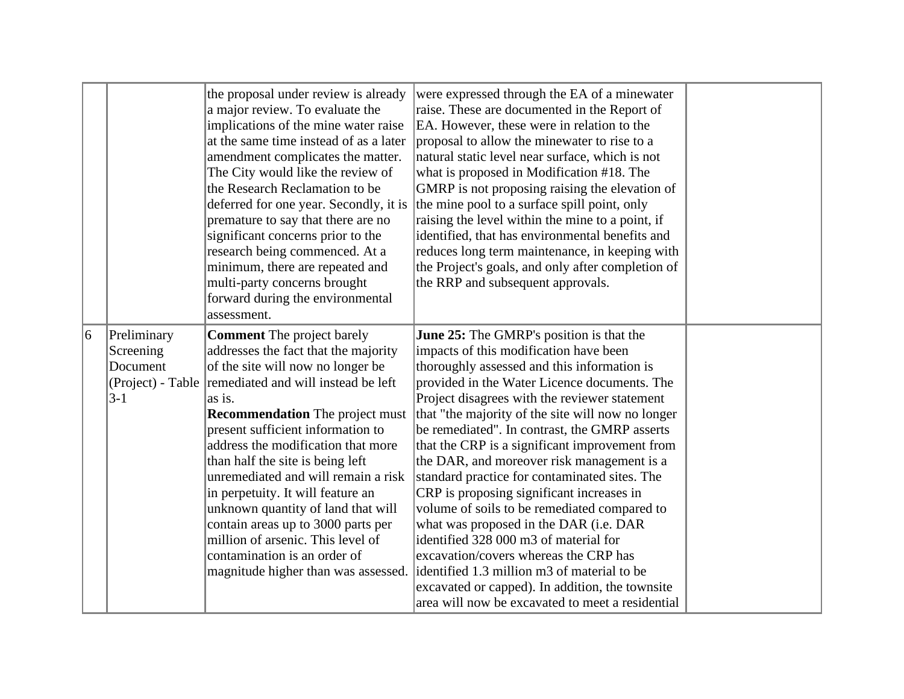|   |                                                                      | the proposal under review is already<br>a major review. To evaluate the<br>implications of the mine water raise<br>at the same time instead of as a later<br>amendment complicates the matter.<br>The City would like the review of<br>the Research Reclamation to be<br>deferred for one year. Secondly, it is<br>premature to say that there are no<br>significant concerns prior to the<br>research being commenced. At a<br>minimum, there are repeated and<br>multi-party concerns brought<br>forward during the environmental<br>assessment.                                           | were expressed through the EA of a minewater<br>raise. These are documented in the Report of<br>EA. However, these were in relation to the<br>proposal to allow the minewater to rise to a<br>natural static level near surface, which is not<br>what is proposed in Modification #18. The<br>GMRP is not proposing raising the elevation of<br>the mine pool to a surface spill point, only<br>raising the level within the mine to a point, if<br>identified, that has environmental benefits and<br>reduces long term maintenance, in keeping with<br>the Project's goals, and only after completion of<br>the RRP and subsequent approvals.                                                                                                                                                                                                                          |  |
|---|----------------------------------------------------------------------|----------------------------------------------------------------------------------------------------------------------------------------------------------------------------------------------------------------------------------------------------------------------------------------------------------------------------------------------------------------------------------------------------------------------------------------------------------------------------------------------------------------------------------------------------------------------------------------------|--------------------------------------------------------------------------------------------------------------------------------------------------------------------------------------------------------------------------------------------------------------------------------------------------------------------------------------------------------------------------------------------------------------------------------------------------------------------------------------------------------------------------------------------------------------------------------------------------------------------------------------------------------------------------------------------------------------------------------------------------------------------------------------------------------------------------------------------------------------------------|--|
| 6 | Preliminary<br>Screening<br>Document<br>(Project) - Table<br>$ 3-1 $ | <b>Comment</b> The project barely<br>addresses the fact that the majority<br>of the site will now no longer be<br>remediated and will instead be left<br>as is.<br><b>Recommendation</b> The project must<br>present sufficient information to<br>address the modification that more<br>than half the site is being left<br>unremediated and will remain a risk<br>in perpetuity. It will feature an<br>unknown quantity of land that will<br>contain areas up to 3000 parts per<br>million of arsenic. This level of<br>contamination is an order of<br>magnitude higher than was assessed. | June 25: The GMRP's position is that the<br>impacts of this modification have been<br>thoroughly assessed and this information is<br>provided in the Water Licence documents. The<br>Project disagrees with the reviewer statement<br>that "the majority of the site will now no longer<br>be remediated". In contrast, the GMRP asserts<br>that the CRP is a significant improvement from<br>the DAR, and moreover risk management is a<br>standard practice for contaminated sites. The<br>CRP is proposing significant increases in<br>volume of soils to be remediated compared to<br>what was proposed in the DAR (i.e. DAR<br>identified 328 000 m3 of material for<br>excavation/covers whereas the CRP has<br>identified 1.3 million m3 of material to be<br>excavated or capped). In addition, the townsite<br>area will now be excavated to meet a residential |  |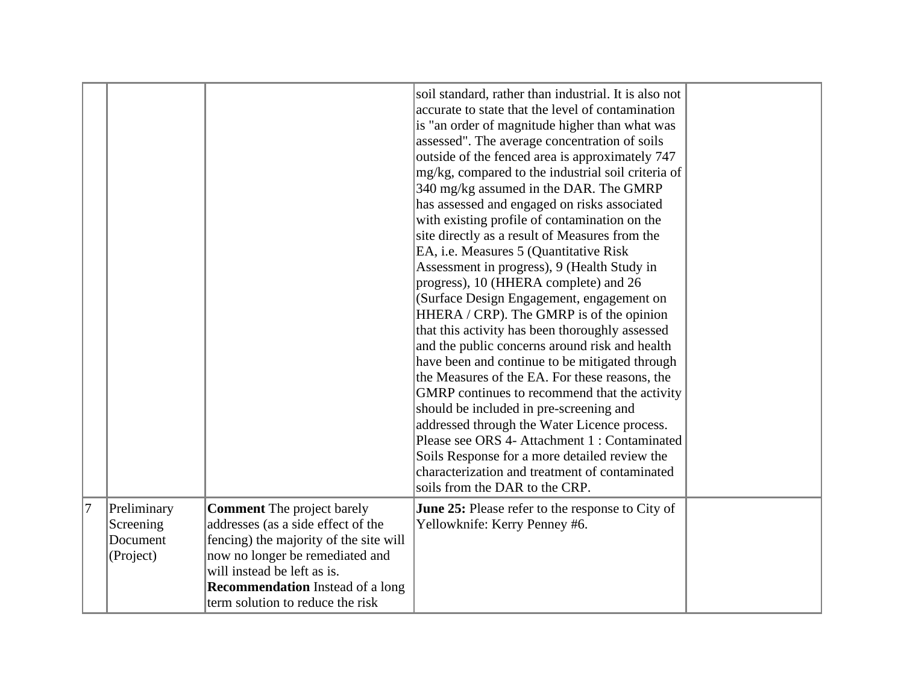|        |                                      |                                                                                                                   | soil standard, rather than industrial. It is also not<br>accurate to state that the level of contamination<br>is "an order of magnitude higher than what was<br>assessed". The average concentration of soils<br>outside of the fenced area is approximately 747<br>mg/kg, compared to the industrial soil criteria of<br>340 mg/kg assumed in the DAR. The GMRP<br>has assessed and engaged on risks associated<br>with existing profile of contamination on the<br>site directly as a result of Measures from the<br>EA, i.e. Measures 5 (Quantitative Risk<br>Assessment in progress), 9 (Health Study in<br>progress), 10 (HHERA complete) and 26<br>(Surface Design Engagement, engagement on<br>HHERA / CRP). The GMRP is of the opinion<br>that this activity has been thoroughly assessed<br>and the public concerns around risk and health<br>have been and continue to be mitigated through<br>the Measures of the EA. For these reasons, the<br>GMRP continues to recommend that the activity<br>should be included in pre-screening and<br>addressed through the Water Licence process.<br>Please see ORS 4- Attachment 1 : Contaminated<br>Soils Response for a more detailed review the<br>characterization and treatment of contaminated<br>soils from the DAR to the CRP. |  |
|--------|--------------------------------------|-------------------------------------------------------------------------------------------------------------------|-------------------------------------------------------------------------------------------------------------------------------------------------------------------------------------------------------------------------------------------------------------------------------------------------------------------------------------------------------------------------------------------------------------------------------------------------------------------------------------------------------------------------------------------------------------------------------------------------------------------------------------------------------------------------------------------------------------------------------------------------------------------------------------------------------------------------------------------------------------------------------------------------------------------------------------------------------------------------------------------------------------------------------------------------------------------------------------------------------------------------------------------------------------------------------------------------------------------------------------------------------------------------------------------|--|
| $ 7\>$ | Preliminary<br>Screening<br>Document | <b>Comment</b> The project barely<br>addresses (as a side effect of the<br>fencing) the majority of the site will | June 25: Please refer to the response to City of<br>Yellowknife: Kerry Penney #6.                                                                                                                                                                                                                                                                                                                                                                                                                                                                                                                                                                                                                                                                                                                                                                                                                                                                                                                                                                                                                                                                                                                                                                                                         |  |
|        | (Project)                            | now no longer be remediated and<br>will instead be left as is.                                                    |                                                                                                                                                                                                                                                                                                                                                                                                                                                                                                                                                                                                                                                                                                                                                                                                                                                                                                                                                                                                                                                                                                                                                                                                                                                                                           |  |
|        |                                      | <b>Recommendation</b> Instead of a long<br>term solution to reduce the risk                                       |                                                                                                                                                                                                                                                                                                                                                                                                                                                                                                                                                                                                                                                                                                                                                                                                                                                                                                                                                                                                                                                                                                                                                                                                                                                                                           |  |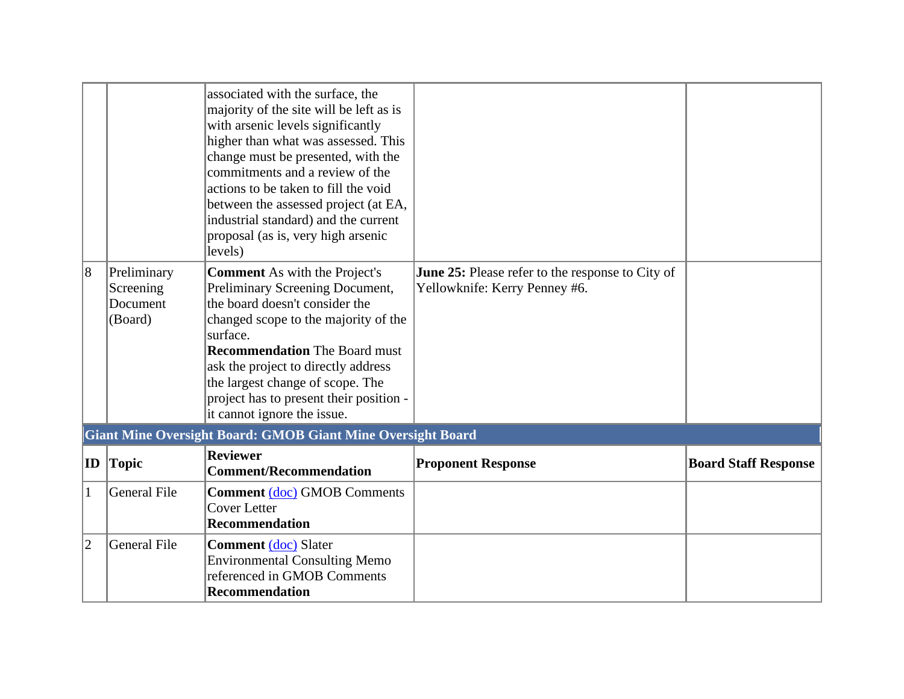|                |                                                 | associated with the surface, the<br>majority of the site will be left as is<br>with arsenic levels significantly<br>higher than what was assessed. This<br>change must be presented, with the<br>commitments and a review of the<br>actions to be taken to fill the void<br>between the assessed project (at EA,<br>industrial standard) and the current<br>proposal (as is, very high arsenic<br>levels) |                                                                                          |                             |
|----------------|-------------------------------------------------|-----------------------------------------------------------------------------------------------------------------------------------------------------------------------------------------------------------------------------------------------------------------------------------------------------------------------------------------------------------------------------------------------------------|------------------------------------------------------------------------------------------|-----------------------------|
| $\overline{8}$ | Preliminary<br>Screening<br>Document<br>(Board) | <b>Comment</b> As with the Project's<br>Preliminary Screening Document,<br>the board doesn't consider the<br>changed scope to the majority of the<br>surface.<br><b>Recommendation</b> The Board must<br>ask the project to directly address<br>the largest change of scope. The<br>project has to present their position -<br>it cannot ignore the issue.                                                | <b>June 25:</b> Please refer to the response to City of<br>Yellowknife: Kerry Penney #6. |                             |
|                |                                                 | <b>Giant Mine Oversight Board: GMOB Giant Mine Oversight Board</b>                                                                                                                                                                                                                                                                                                                                        |                                                                                          |                             |
| ID             | Topic                                           | <b>Reviewer</b><br><b>Comment/Recommendation</b>                                                                                                                                                                                                                                                                                                                                                          | <b>Proponent Response</b>                                                                | <b>Board Staff Response</b> |
| 1              | General File                                    | <b>Comment (doc) GMOB Comments</b><br><b>Cover Letter</b><br><b>Recommendation</b>                                                                                                                                                                                                                                                                                                                        |                                                                                          |                             |
| $\overline{2}$ | General File                                    | <b>Comment</b> (doc) Slater<br><b>Environmental Consulting Memo</b><br>referenced in GMOB Comments<br><b>Recommendation</b>                                                                                                                                                                                                                                                                               |                                                                                          |                             |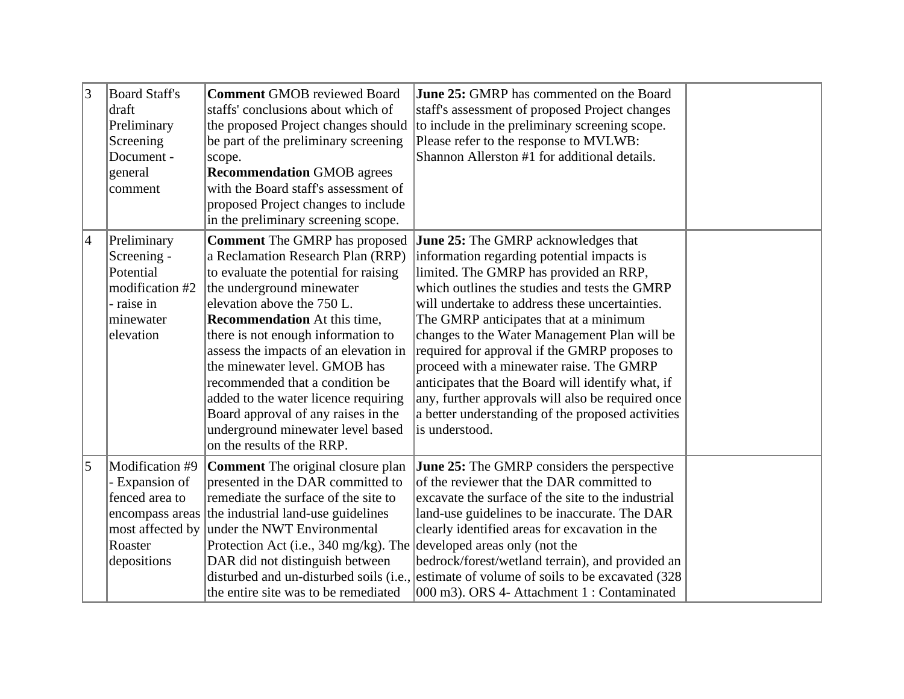| $\vert 3 \vert$ | <b>Board Staff's</b><br>draft<br>Preliminary<br>Screening<br>Document -<br>general<br>comment      | <b>Comment GMOB reviewed Board</b><br>staffs' conclusions about which of<br>the proposed Project changes should<br>be part of the preliminary screening<br>scope.<br><b>Recommendation GMOB</b> agrees<br>with the Board staff's assessment of<br>proposed Project changes to include<br>in the preliminary screening scope.                                                                                                                                                                                              | <b>June 25: GMRP</b> has commented on the Board<br>staff's assessment of proposed Project changes<br>to include in the preliminary screening scope.<br>Please refer to the response to MVLWB:<br>Shannon Allerston #1 for additional details.                                                                                                                                                                                                                                                                                                                                                                 |  |
|-----------------|----------------------------------------------------------------------------------------------------|---------------------------------------------------------------------------------------------------------------------------------------------------------------------------------------------------------------------------------------------------------------------------------------------------------------------------------------------------------------------------------------------------------------------------------------------------------------------------------------------------------------------------|---------------------------------------------------------------------------------------------------------------------------------------------------------------------------------------------------------------------------------------------------------------------------------------------------------------------------------------------------------------------------------------------------------------------------------------------------------------------------------------------------------------------------------------------------------------------------------------------------------------|--|
| $\vert 4$       | Preliminary<br>Screening -<br>Potential<br>modification #2<br>- raise in<br>minewater<br>elevation | <b>Comment</b> The GMRP has proposed<br>a Reclamation Research Plan (RRP)<br>to evaluate the potential for raising<br>the underground minewater<br>elevation above the 750 L.<br><b>Recommendation</b> At this time,<br>there is not enough information to<br>assess the impacts of an elevation in<br>the minewater level. GMOB has<br>recommended that a condition be<br>added to the water licence requiring<br>Board approval of any raises in the<br>underground minewater level based<br>on the results of the RRP. | <b>June 25:</b> The GMRP acknowledges that<br>information regarding potential impacts is<br>limited. The GMRP has provided an RRP,<br>which outlines the studies and tests the GMRP<br>will undertake to address these uncertainties.<br>The GMRP anticipates that at a minimum<br>changes to the Water Management Plan will be<br>required for approval if the GMRP proposes to<br>proceed with a minewater raise. The GMRP<br>anticipates that the Board will identify what, if<br>any, further approvals will also be required once<br>a better understanding of the proposed activities<br>is understood. |  |
| 5               | Modification #9<br>- Expansion of<br>fenced area to<br>most affected by<br>Roaster<br>depositions  | <b>Comment</b> The original closure plan<br>presented in the DAR committed to<br>remediate the surface of the site to<br>encompass areas the industrial land-use guidelines<br>under the NWT Environmental<br>Protection Act (i.e., 340 mg/kg). The developed areas only (not the<br>DAR did not distinguish between<br>the entire site was to be remediated                                                                                                                                                              | <b>June 25:</b> The GMRP considers the perspective<br>of the reviewer that the DAR committed to<br>excavate the surface of the site to the industrial<br>land-use guidelines to be inaccurate. The DAR<br>clearly identified areas for excavation in the<br>bedrock/forest/wetland terrain), and provided an<br>disturbed and un-disturbed soils (i.e., estimate of volume of soils to be excavated (328)<br>000 m3). ORS 4- Attachment 1 : Contaminated                                                                                                                                                      |  |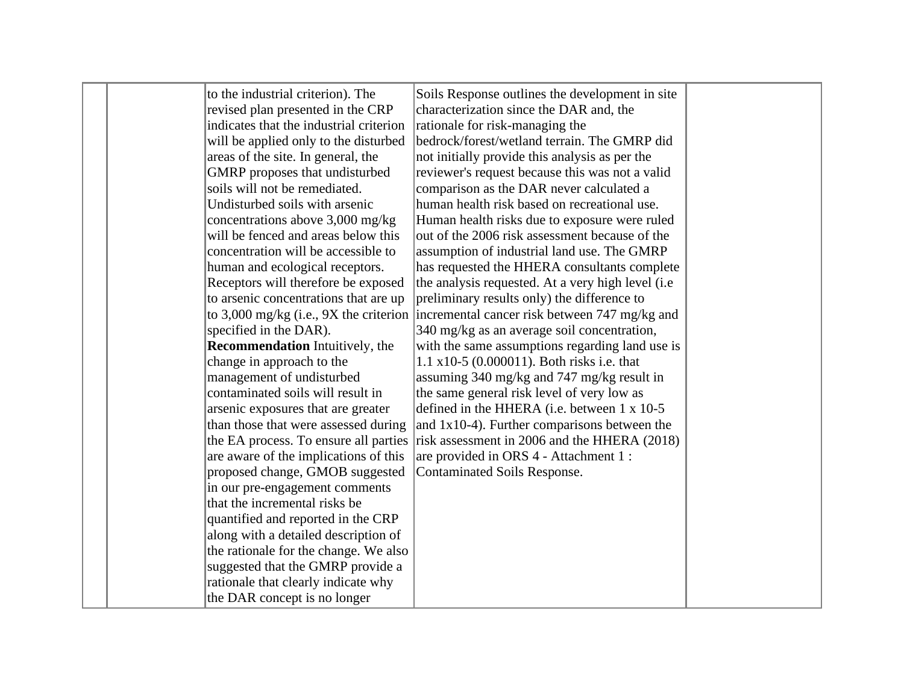|  | to the industrial criterion). The        | Soils Response outlines the development in site    |  |
|--|------------------------------------------|----------------------------------------------------|--|
|  | revised plan presented in the CRP        | characterization since the DAR and, the            |  |
|  | indicates that the industrial criterion  | rationale for risk-managing the                    |  |
|  | will be applied only to the disturbed    | bedrock/forest/wetland terrain. The GMRP did       |  |
|  | areas of the site. In general, the       | not initially provide this analysis as per the     |  |
|  | GMRP proposes that undisturbed           | reviewer's request because this was not a valid    |  |
|  | soils will not be remediated.            | comparison as the DAR never calculated a           |  |
|  | Undisturbed soils with arsenic           | human health risk based on recreational use.       |  |
|  | concentrations above 3,000 mg/kg         | Human health risks due to exposure were ruled      |  |
|  | will be fenced and areas below this      | out of the 2006 risk assessment because of the     |  |
|  | concentration will be accessible to      | assumption of industrial land use. The GMRP        |  |
|  | human and ecological receptors.          | has requested the HHERA consultants complete       |  |
|  | Receptors will therefore be exposed      | the analysis requested. At a very high level (i.e. |  |
|  | to arsenic concentrations that are up    | preliminary results only) the difference to        |  |
|  | to 3,000 mg/kg (i.e., $9X$ the criterion | incremental cancer risk between 747 mg/kg and      |  |
|  | specified in the DAR).                   | 340 mg/kg as an average soil concentration,        |  |
|  | <b>Recommendation</b> Intuitively, the   | with the same assumptions regarding land use is    |  |
|  | change in approach to the                | 1.1 x10-5 $(0.000011)$ . Both risks i.e. that      |  |
|  | management of undisturbed                | assuming 340 mg/kg and 747 mg/kg result in         |  |
|  | contaminated soils will result in        | the same general risk level of very low as         |  |
|  | arsenic exposures that are greater       | defined in the HHERA (i.e. between 1 x 10-5        |  |
|  | than those that were assessed during     | and $1x10-4$ ). Further comparisons between the    |  |
|  | the EA process. To ensure all parties    | risk assessment in 2006 and the HHERA (2018)       |  |
|  | are aware of the implications of this    | are provided in ORS 4 - Attachment 1 :             |  |
|  | proposed change, GMOB suggested          | <b>Contaminated Soils Response.</b>                |  |
|  | in our pre-engagement comments           |                                                    |  |
|  | that the incremental risks be            |                                                    |  |
|  | quantified and reported in the CRP       |                                                    |  |
|  | along with a detailed description of     |                                                    |  |
|  | the rationale for the change. We also    |                                                    |  |
|  | suggested that the GMRP provide a        |                                                    |  |
|  | rationale that clearly indicate why      |                                                    |  |
|  | the DAR concept is no longer             |                                                    |  |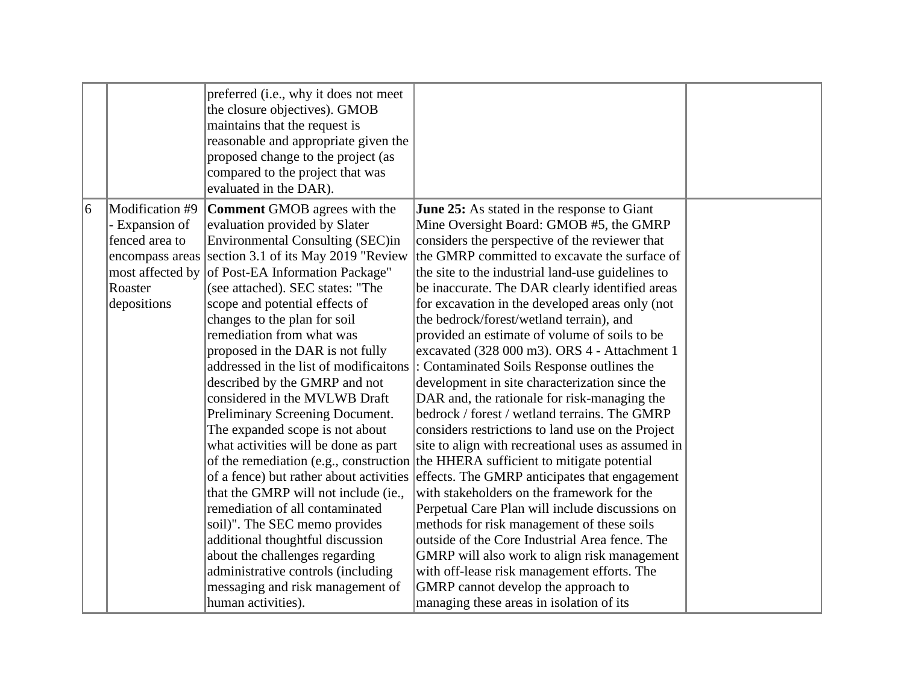| 6<br>Modification #9<br><b>Comment GMOB</b> agrees with the<br><b>June 25:</b> As stated in the response to Giant<br>- Expansion of<br>evaluation provided by Slater<br>Mine Oversight Board: GMOB #5, the GMRP<br>fenced area to<br><b>Environmental Consulting (SEC)in</b><br>considers the perspective of the reviewer that<br>section 3.1 of its May 2019 "Review"<br>the GMRP committed to excavate the surface of<br>encompass areas<br>most affected by of Post-EA Information Package"<br>the site to the industrial land-use guidelines to<br>Roaster<br>(see attached). SEC states: "The<br>be inaccurate. The DAR clearly identified areas                                                                                                                                                                                                                                                                                                                                                                                                                                                                                                                                                                                                                                                                                                                                                                                                                                                                                                                                                                             |             | preferred (i.e., why it does not meet<br>the closure objectives). GMOB<br>maintains that the request is<br>reasonable and appropriate given the<br>proposed change to the project (as<br>compared to the project that was<br>evaluated in the DAR). |                                                 |  |
|-----------------------------------------------------------------------------------------------------------------------------------------------------------------------------------------------------------------------------------------------------------------------------------------------------------------------------------------------------------------------------------------------------------------------------------------------------------------------------------------------------------------------------------------------------------------------------------------------------------------------------------------------------------------------------------------------------------------------------------------------------------------------------------------------------------------------------------------------------------------------------------------------------------------------------------------------------------------------------------------------------------------------------------------------------------------------------------------------------------------------------------------------------------------------------------------------------------------------------------------------------------------------------------------------------------------------------------------------------------------------------------------------------------------------------------------------------------------------------------------------------------------------------------------------------------------------------------------------------------------------------------|-------------|-----------------------------------------------------------------------------------------------------------------------------------------------------------------------------------------------------------------------------------------------------|-------------------------------------------------|--|
| changes to the plan for soil<br>the bedrock/forest/wetland terrain), and<br>remediation from what was<br>provided an estimate of volume of soils to be<br>proposed in the DAR is not fully<br>excavated (328 000 m3). ORS 4 - Attachment 1<br>addressed in the list of modificaitons<br>Contaminated Soils Response outlines the<br>development in site characterization since the<br>described by the GMRP and not<br>considered in the MVLWB Draft<br>DAR and, the rationale for risk-managing the<br>bedrock / forest / wetland terrains. The GMRP<br>Preliminary Screening Document.<br>The expanded scope is not about<br>considers restrictions to land use on the Project<br>what activities will be done as part<br>site to align with recreational uses as assumed in<br>of the remediation (e.g., construction the HHERA sufficient to mitigate potential<br>of a fence) but rather about activities effects. The GMRP anticipates that engagement<br>with stakeholders on the framework for the<br>that the GMRP will not include (ie.,<br>Perpetual Care Plan will include discussions on<br>remediation of all contaminated<br>methods for risk management of these soils<br>soil)". The SEC memo provides<br>additional thoughtful discussion<br>outside of the Core Industrial Area fence. The<br>about the challenges regarding<br>GMRP will also work to align risk management<br>administrative controls (including<br>with off-lease risk management efforts. The<br>messaging and risk management of<br>GMRP cannot develop the approach to<br>human activities).<br>managing these areas in isolation of its | depositions | scope and potential effects of                                                                                                                                                                                                                      | for excavation in the developed areas only (not |  |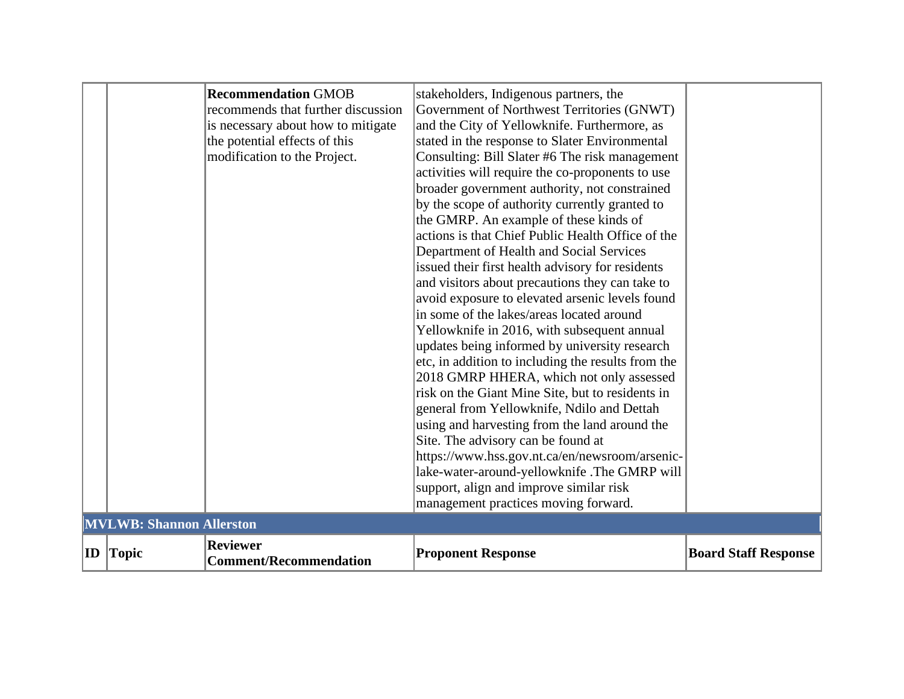|                                 |                                                  | avoid exposure to elevated arsenic levels found<br>in some of the lakes/areas located around<br>Yellowknife in 2016, with subsequent annual<br>updates being informed by university research<br>etc, in addition to including the results from the<br>2018 GMRP HHERA, which not only assessed<br>risk on the Giant Mine Site, but to residents in |                             |
|---------------------------------|--------------------------------------------------|----------------------------------------------------------------------------------------------------------------------------------------------------------------------------------------------------------------------------------------------------------------------------------------------------------------------------------------------------|-----------------------------|
|                                 |                                                  | general from Yellowknife, Ndilo and Dettah<br>using and harvesting from the land around the<br>Site. The advisory can be found at<br>https://www.hss.gov.nt.ca/en/newsroom/arsenic-<br>lake-water-around-yellowknife .The GMRP will<br>support, align and improve similar risk<br>management practices moving forward.                             |                             |
| <b>MVLWB: Shannon Allerston</b> |                                                  |                                                                                                                                                                                                                                                                                                                                                    |                             |
| ID $ Topic$                     | <b>Reviewer</b><br><b>Comment/Recommendation</b> | <b>Proponent Response</b>                                                                                                                                                                                                                                                                                                                          | <b>Board Staff Response</b> |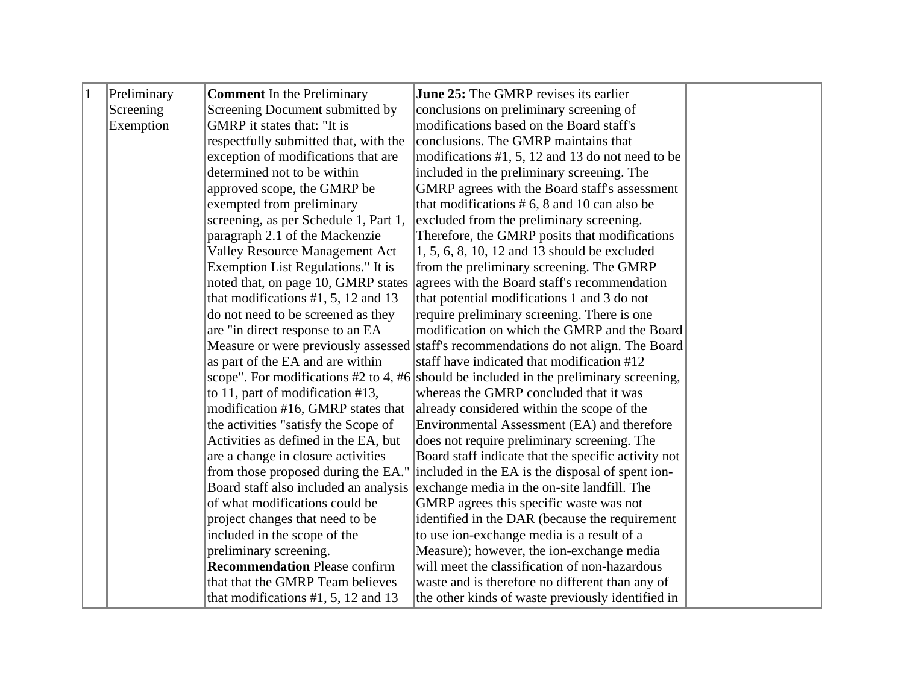| $\vert$ 1 | Preliminary | <b>Comment</b> In the Preliminary     | <b>June 25:</b> The GMRP revises its earlier                                           |  |
|-----------|-------------|---------------------------------------|----------------------------------------------------------------------------------------|--|
|           | Screening   | Screening Document submitted by       | conclusions on preliminary screening of                                                |  |
|           | Exemption   | GMRP it states that: "It is           | modifications based on the Board staff's                                               |  |
|           |             | respectfully submitted that, with the | conclusions. The GMRP maintains that                                                   |  |
|           |             | exception of modifications that are   | modifications $#1, 5, 12$ and 13 do not need to be                                     |  |
|           |             | determined not to be within           | included in the preliminary screening. The                                             |  |
|           |             | approved scope, the GMRP be           | GMRP agrees with the Board staff's assessment                                          |  |
|           |             | exempted from preliminary             | that modifications $# 6, 8$ and 10 can also be                                         |  |
|           |             | screening, as per Schedule 1, Part 1, | excluded from the preliminary screening.                                               |  |
|           |             | paragraph 2.1 of the Mackenzie        | Therefore, the GMRP posits that modifications                                          |  |
|           |             | <b>Valley Resource Management Act</b> | 1, 5, 6, 8, 10, 12 and 13 should be excluded                                           |  |
|           |             | Exemption List Regulations." It is    | from the preliminary screening. The GMRP                                               |  |
|           |             | noted that, on page 10, GMRP states   | agrees with the Board staff's recommendation                                           |  |
|           |             | that modifications $#1, 5, 12$ and 13 | that potential modifications 1 and 3 do not                                            |  |
|           |             | do not need to be screened as they    | require preliminary screening. There is one                                            |  |
|           |             | are "in direct response to an EA      | modification on which the GMRP and the Board                                           |  |
|           |             | Measure or were previously assessed   | staff's recommendations do not align. The Board                                        |  |
|           |             | as part of the EA and are within      | staff have indicated that modification #12                                             |  |
|           |             |                                       | scope". For modifications #2 to 4, #6 should be included in the preliminary screening, |  |
|           |             | to 11, part of modification #13,      | whereas the GMRP concluded that it was                                                 |  |
|           |             | modification #16, GMRP states that    | already considered within the scope of the                                             |  |
|           |             | the activities "satisfy the Scope of  | Environmental Assessment (EA) and therefore                                            |  |
|           |             | Activities as defined in the EA, but  | does not require preliminary screening. The                                            |  |
|           |             | are a change in closure activities    | Board staff indicate that the specific activity not                                    |  |
|           |             | from those proposed during the EA."   | included in the EA is the disposal of spent ion-                                       |  |
|           |             | Board staff also included an analysis | exchange media in the on-site landfill. The                                            |  |
|           |             | of what modifications could be        | GMRP agrees this specific waste was not                                                |  |
|           |             | project changes that need to be       | identified in the DAR (because the requirement                                         |  |
|           |             | included in the scope of the          | to use ion-exchange media is a result of a                                             |  |
|           |             | preliminary screening.                | Measure); however, the ion-exchange media                                              |  |
|           |             | <b>Recommendation Please confirm</b>  | will meet the classification of non-hazardous                                          |  |
|           |             | that that the GMRP Team believes      | waste and is therefore no different than any of                                        |  |
|           |             | that modifications $#1, 5, 12$ and 13 | the other kinds of waste previously identified in                                      |  |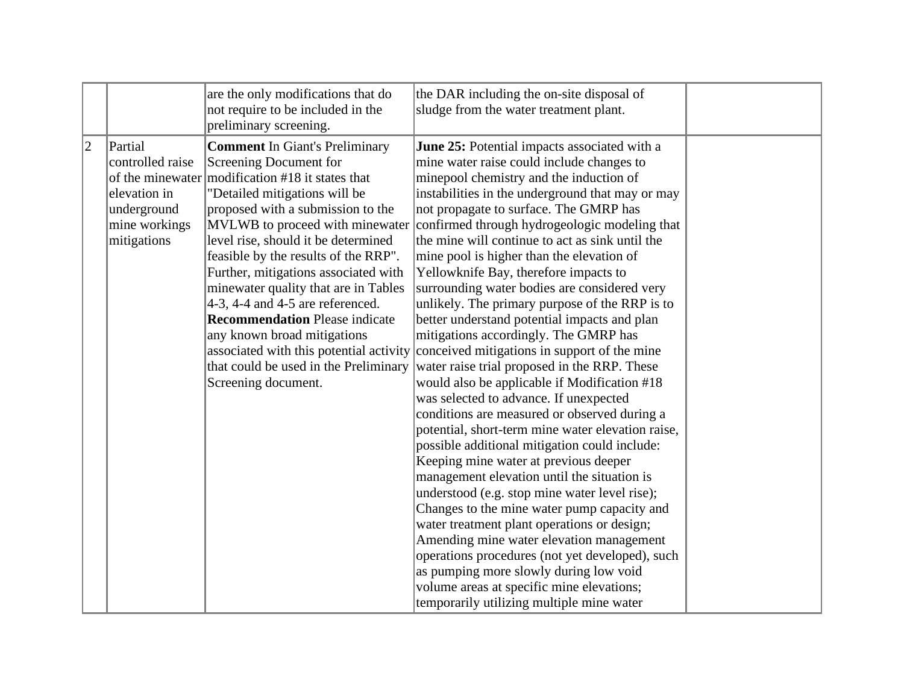|             |                                                                                            | are the only modifications that do<br>not require to be included in the<br>preliminary screening.                                                                                                                                                                                                                                                                                                                                                                                                                                                                       | the DAR including the on-site disposal of<br>sludge from the water treatment plant.                                                                                                                                                                                                                                                                                                                                                                                                                                                                                                                                                                                                                                                                                                                                                                                                                                                                                                                                                                                                                                                                                                                                                                                                                                                                                                                                                                                                       |  |
|-------------|--------------------------------------------------------------------------------------------|-------------------------------------------------------------------------------------------------------------------------------------------------------------------------------------------------------------------------------------------------------------------------------------------------------------------------------------------------------------------------------------------------------------------------------------------------------------------------------------------------------------------------------------------------------------------------|-------------------------------------------------------------------------------------------------------------------------------------------------------------------------------------------------------------------------------------------------------------------------------------------------------------------------------------------------------------------------------------------------------------------------------------------------------------------------------------------------------------------------------------------------------------------------------------------------------------------------------------------------------------------------------------------------------------------------------------------------------------------------------------------------------------------------------------------------------------------------------------------------------------------------------------------------------------------------------------------------------------------------------------------------------------------------------------------------------------------------------------------------------------------------------------------------------------------------------------------------------------------------------------------------------------------------------------------------------------------------------------------------------------------------------------------------------------------------------------------|--|
| $ 2\rangle$ | Partial<br>controlled raise<br>elevation in<br>underground<br>mine workings<br>mitigations | <b>Comment</b> In Giant's Preliminary<br>Screening Document for<br>of the minewater modification #18 it states that<br>"Detailed mitigations will be<br>proposed with a submission to the<br>MVLWB to proceed with minewater<br>level rise, should it be determined<br>feasible by the results of the RRP".<br>Further, mitigations associated with<br>minewater quality that are in Tables<br>4-3, 4-4 and 4-5 are referenced.<br><b>Recommendation Please indicate</b><br>any known broad mitigations<br>that could be used in the Preliminary<br>Screening document. | June 25: Potential impacts associated with a<br>mine water raise could include changes to<br>minepool chemistry and the induction of<br>instabilities in the underground that may or may<br>not propagate to surface. The GMRP has<br>confirmed through hydrogeologic modeling that<br>the mine will continue to act as sink until the<br>mine pool is higher than the elevation of<br>Yellowknife Bay, therefore impacts to<br>surrounding water bodies are considered very<br>unlikely. The primary purpose of the RRP is to<br>better understand potential impacts and plan<br>mitigations accordingly. The GMRP has<br>associated with this potential activity conceived mitigations in support of the mine<br>water raise trial proposed in the RRP. These<br>would also be applicable if Modification #18<br>was selected to advance. If unexpected<br>conditions are measured or observed during a<br>potential, short-term mine water elevation raise,<br>possible additional mitigation could include:<br>Keeping mine water at previous deeper<br>management elevation until the situation is<br>understood (e.g. stop mine water level rise);<br>Changes to the mine water pump capacity and<br>water treatment plant operations or design;<br>Amending mine water elevation management<br>operations procedures (not yet developed), such<br>as pumping more slowly during low void<br>volume areas at specific mine elevations;<br>temporarily utilizing multiple mine water |  |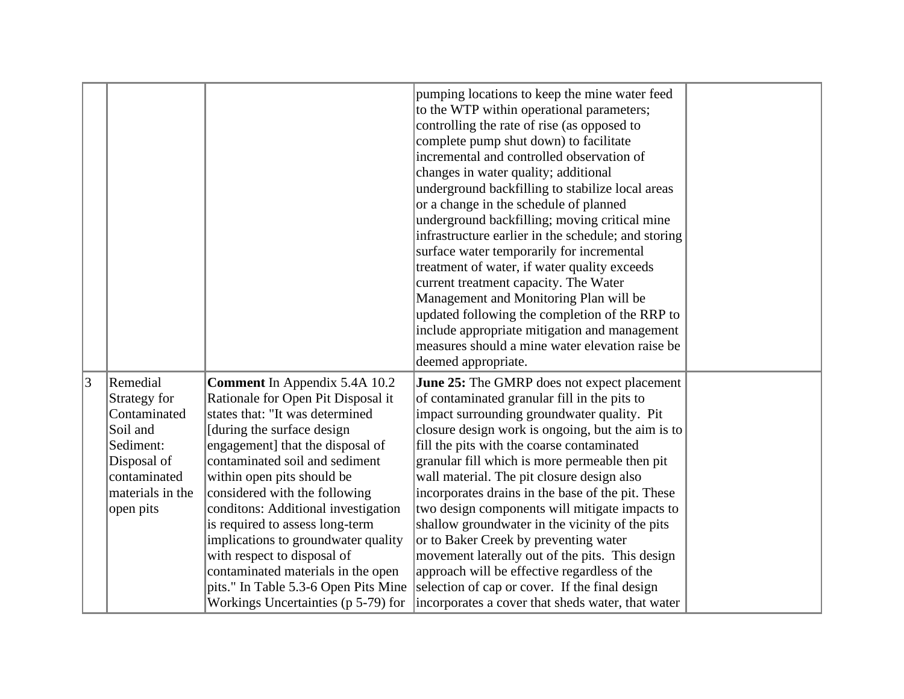|                 |                  |                                      | pumping locations to keep the mine water feed<br>to the WTP within operational parameters;<br>controlling the rate of rise (as opposed to<br>complete pump shut down) to facilitate<br>incremental and controlled observation of<br>changes in water quality; additional<br>underground backfilling to stabilize local areas<br>or a change in the schedule of planned<br>underground backfilling; moving critical mine<br>infrastructure earlier in the schedule; and storing<br>surface water temporarily for incremental<br>treatment of water, if water quality exceeds<br>current treatment capacity. The Water<br>Management and Monitoring Plan will be |  |
|-----------------|------------------|--------------------------------------|----------------------------------------------------------------------------------------------------------------------------------------------------------------------------------------------------------------------------------------------------------------------------------------------------------------------------------------------------------------------------------------------------------------------------------------------------------------------------------------------------------------------------------------------------------------------------------------------------------------------------------------------------------------|--|
|                 |                  |                                      | updated following the completion of the RRP to                                                                                                                                                                                                                                                                                                                                                                                                                                                                                                                                                                                                                 |  |
|                 |                  |                                      | include appropriate mitigation and management                                                                                                                                                                                                                                                                                                                                                                                                                                                                                                                                                                                                                  |  |
|                 |                  |                                      | measures should a mine water elevation raise be                                                                                                                                                                                                                                                                                                                                                                                                                                                                                                                                                                                                                |  |
|                 |                  |                                      | deemed appropriate.                                                                                                                                                                                                                                                                                                                                                                                                                                                                                                                                                                                                                                            |  |
| $\vert 3 \vert$ | Remedial         | <b>Comment</b> In Appendix 5.4A 10.2 | <b>June 25:</b> The GMRP does not expect placement                                                                                                                                                                                                                                                                                                                                                                                                                                                                                                                                                                                                             |  |
|                 | Strategy for     | Rationale for Open Pit Disposal it   | of contaminated granular fill in the pits to                                                                                                                                                                                                                                                                                                                                                                                                                                                                                                                                                                                                                   |  |
|                 | Contaminated     | states that: "It was determined      | impact surrounding groundwater quality. Pit                                                                                                                                                                                                                                                                                                                                                                                                                                                                                                                                                                                                                    |  |
|                 | Soil and         | [during the surface design]          | closure design work is ongoing, but the aim is to                                                                                                                                                                                                                                                                                                                                                                                                                                                                                                                                                                                                              |  |
|                 | Sediment:        | engagement] that the disposal of     | fill the pits with the coarse contaminated                                                                                                                                                                                                                                                                                                                                                                                                                                                                                                                                                                                                                     |  |
|                 | Disposal of      | contaminated soil and sediment       | granular fill which is more permeable then pit                                                                                                                                                                                                                                                                                                                                                                                                                                                                                                                                                                                                                 |  |
|                 | contaminated     | within open pits should be           | wall material. The pit closure design also                                                                                                                                                                                                                                                                                                                                                                                                                                                                                                                                                                                                                     |  |
|                 | materials in the | considered with the following        | incorporates drains in the base of the pit. These                                                                                                                                                                                                                                                                                                                                                                                                                                                                                                                                                                                                              |  |
|                 | open pits        | conditons: Additional investigation  | two design components will mitigate impacts to                                                                                                                                                                                                                                                                                                                                                                                                                                                                                                                                                                                                                 |  |
|                 |                  | is required to assess long-term      | shallow groundwater in the vicinity of the pits                                                                                                                                                                                                                                                                                                                                                                                                                                                                                                                                                                                                                |  |
|                 |                  | implications to groundwater quality  | or to Baker Creek by preventing water                                                                                                                                                                                                                                                                                                                                                                                                                                                                                                                                                                                                                          |  |
|                 |                  | with respect to disposal of          | movement laterally out of the pits. This design                                                                                                                                                                                                                                                                                                                                                                                                                                                                                                                                                                                                                |  |
|                 |                  | contaminated materials in the open   | approach will be effective regardless of the                                                                                                                                                                                                                                                                                                                                                                                                                                                                                                                                                                                                                   |  |
|                 |                  | pits." In Table 5.3-6 Open Pits Mine | selection of cap or cover. If the final design                                                                                                                                                                                                                                                                                                                                                                                                                                                                                                                                                                                                                 |  |
|                 |                  | Workings Uncertainties (p 5-79) for  | incorporates a cover that sheds water, that water                                                                                                                                                                                                                                                                                                                                                                                                                                                                                                                                                                                                              |  |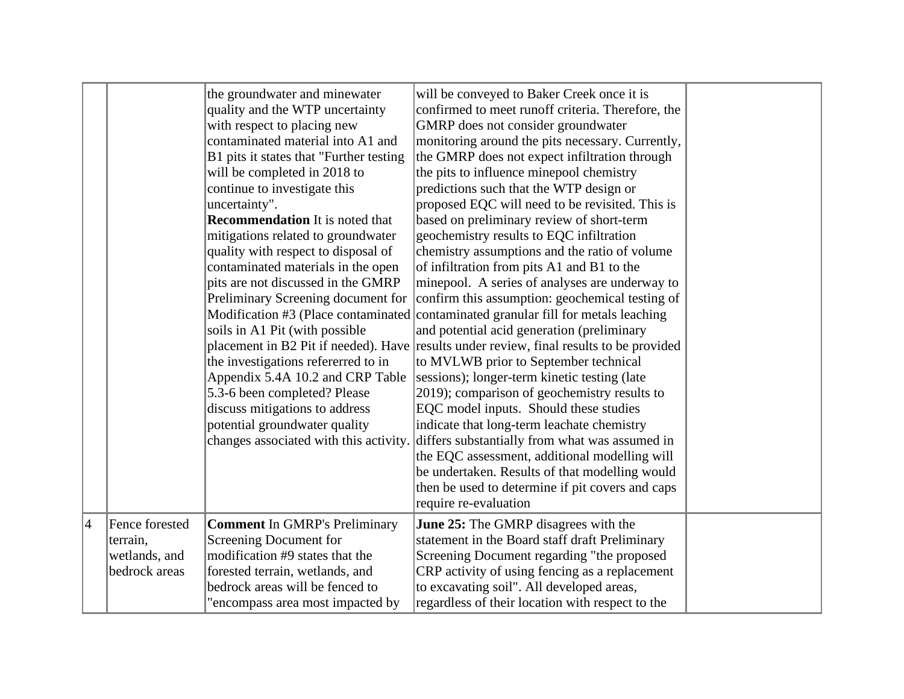|   |                                                              | the groundwater and minewater<br>quality and the WTP uncertainty<br>with respect to placing new<br>contaminated material into A1 and<br>B1 pits it states that "Further testing<br>will be completed in 2018 to<br>continue to investigate this<br>uncertainty".<br><b>Recommendation</b> It is noted that<br>mitigations related to groundwater<br>quality with respect to disposal of<br>contaminated materials in the open<br>pits are not discussed in the GMRP<br>Preliminary Screening document for<br>soils in A1 Pit (with possible<br>the investigations refererred to in<br>Appendix 5.4A 10.2 and CRP Table<br>5.3-6 been completed? Please<br>discuss mitigations to address<br>potential groundwater quality<br>changes associated with this activity. | will be conveyed to Baker Creek once it is<br>confirmed to meet runoff criteria. Therefore, the<br>GMRP does not consider groundwater<br>monitoring around the pits necessary. Currently,<br>the GMRP does not expect infiltration through<br>the pits to influence minepool chemistry<br>predictions such that the WTP design or<br>proposed EQC will need to be revisited. This is<br>based on preliminary review of short-term<br>geochemistry results to EQC infiltration<br>chemistry assumptions and the ratio of volume<br>of infiltration from pits A1 and B1 to the<br>minepool. A series of analyses are underway to<br>confirm this assumption: geochemical testing of<br>Modification #3 (Place contaminated contaminated granular fill for metals leaching<br>and potential acid generation (preliminary<br>placement in B2 Pit if needed). Have results under review, final results to be provided<br>to MVLWB prior to September technical<br>sessions); longer-term kinetic testing (late<br>2019); comparison of geochemistry results to<br>EQC model inputs. Should these studies<br>indicate that long-term leachate chemistry<br>differs substantially from what was assumed in<br>the EQC assessment, additional modelling will<br>be undertaken. Results of that modelling would<br>then be used to determine if pit covers and caps<br>require re-evaluation |  |
|---|--------------------------------------------------------------|---------------------------------------------------------------------------------------------------------------------------------------------------------------------------------------------------------------------------------------------------------------------------------------------------------------------------------------------------------------------------------------------------------------------------------------------------------------------------------------------------------------------------------------------------------------------------------------------------------------------------------------------------------------------------------------------------------------------------------------------------------------------|-------------------------------------------------------------------------------------------------------------------------------------------------------------------------------------------------------------------------------------------------------------------------------------------------------------------------------------------------------------------------------------------------------------------------------------------------------------------------------------------------------------------------------------------------------------------------------------------------------------------------------------------------------------------------------------------------------------------------------------------------------------------------------------------------------------------------------------------------------------------------------------------------------------------------------------------------------------------------------------------------------------------------------------------------------------------------------------------------------------------------------------------------------------------------------------------------------------------------------------------------------------------------------------------------------------------------------------------------------------------------------------|--|
| 4 | Fence forested<br>terrain,<br>wetlands, and<br>bedrock areas | <b>Comment In GMRP's Preliminary</b><br>Screening Document for<br>modification #9 states that the<br>forested terrain, wetlands, and<br>bedrock areas will be fenced to<br>"encompass area most impacted by                                                                                                                                                                                                                                                                                                                                                                                                                                                                                                                                                         | <b>June 25:</b> The GMRP disagrees with the<br>statement in the Board staff draft Preliminary<br>Screening Document regarding "the proposed<br>CRP activity of using fencing as a replacement<br>to excavating soil". All developed areas,<br>regardless of their location with respect to the                                                                                                                                                                                                                                                                                                                                                                                                                                                                                                                                                                                                                                                                                                                                                                                                                                                                                                                                                                                                                                                                                      |  |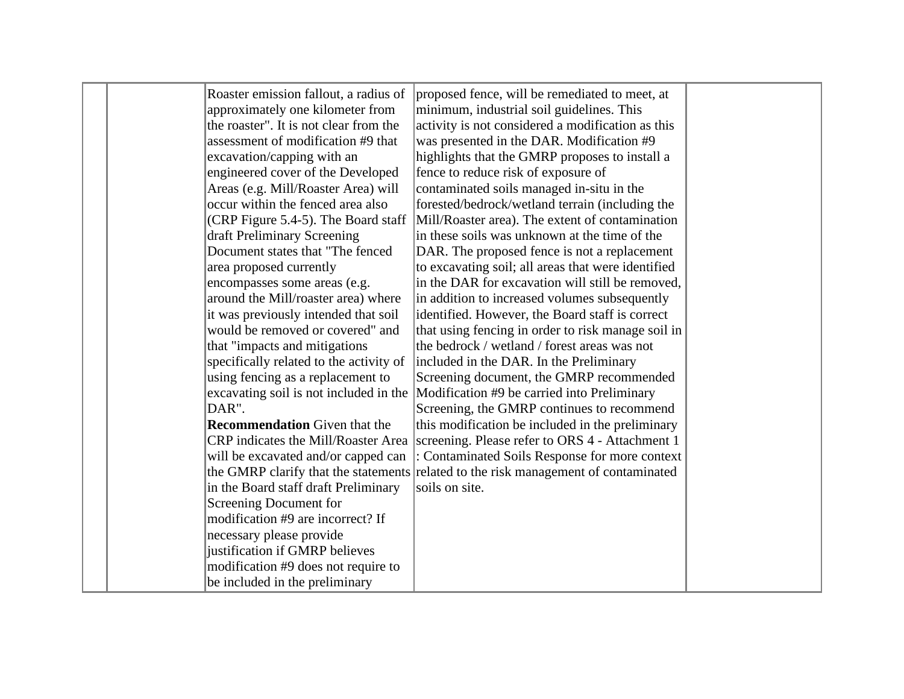|  | Roaster emission fallout, a radius of   | proposed fence, will be remediated to meet, at                                        |  |
|--|-----------------------------------------|---------------------------------------------------------------------------------------|--|
|  | approximately one kilometer from        | minimum, industrial soil guidelines. This                                             |  |
|  | the roaster". It is not clear from the  | activity is not considered a modification as this                                     |  |
|  | assessment of modification #9 that      | was presented in the DAR. Modification #9                                             |  |
|  | excavation/capping with an              | highlights that the GMRP proposes to install a                                        |  |
|  | engineered cover of the Developed       | fence to reduce risk of exposure of                                                   |  |
|  | Areas (e.g. Mill/Roaster Area) will     | contaminated soils managed in-situ in the                                             |  |
|  | occur within the fenced area also       | forested/bedrock/wetland terrain (including the                                       |  |
|  | (CRP Figure 5.4-5). The Board staff     | Mill/Roaster area). The extent of contamination                                       |  |
|  | draft Preliminary Screening             | in these soils was unknown at the time of the                                         |  |
|  | Document states that "The fenced        | DAR. The proposed fence is not a replacement                                          |  |
|  | area proposed currently                 | to excavating soil; all areas that were identified                                    |  |
|  | encompasses some areas (e.g.            | in the DAR for excavation will still be removed,                                      |  |
|  | around the Mill/roaster area) where     | in addition to increased volumes subsequently                                         |  |
|  | it was previously intended that soil    | identified. However, the Board staff is correct                                       |  |
|  | would be removed or covered" and        | that using fencing in order to risk manage soil in                                    |  |
|  | that "impacts and mitigations           | the bedrock / wetland / forest areas was not                                          |  |
|  | specifically related to the activity of | included in the DAR. In the Preliminary                                               |  |
|  | using fencing as a replacement to       | Screening document, the GMRP recommended                                              |  |
|  | excavating soil is not included in the  | Modification #9 be carried into Preliminary                                           |  |
|  | DAR".                                   | Screening, the GMRP continues to recommend                                            |  |
|  | <b>Recommendation</b> Given that the    | this modification be included in the preliminary                                      |  |
|  |                                         | CRP indicates the Mill/Roaster Area   screening. Please refer to ORS 4 - Attachment 1 |  |
|  | will be excavated and/or capped can     | : Contaminated Soils Response for more context                                        |  |
|  |                                         | the GMRP clarify that the statements related to the risk management of contaminated   |  |
|  | in the Board staff draft Preliminary    | soils on site.                                                                        |  |
|  | Screening Document for                  |                                                                                       |  |
|  | modification #9 are incorrect? If       |                                                                                       |  |
|  | necessary please provide                |                                                                                       |  |
|  | justification if GMRP believes          |                                                                                       |  |
|  | modification #9 does not require to     |                                                                                       |  |
|  | be included in the preliminary          |                                                                                       |  |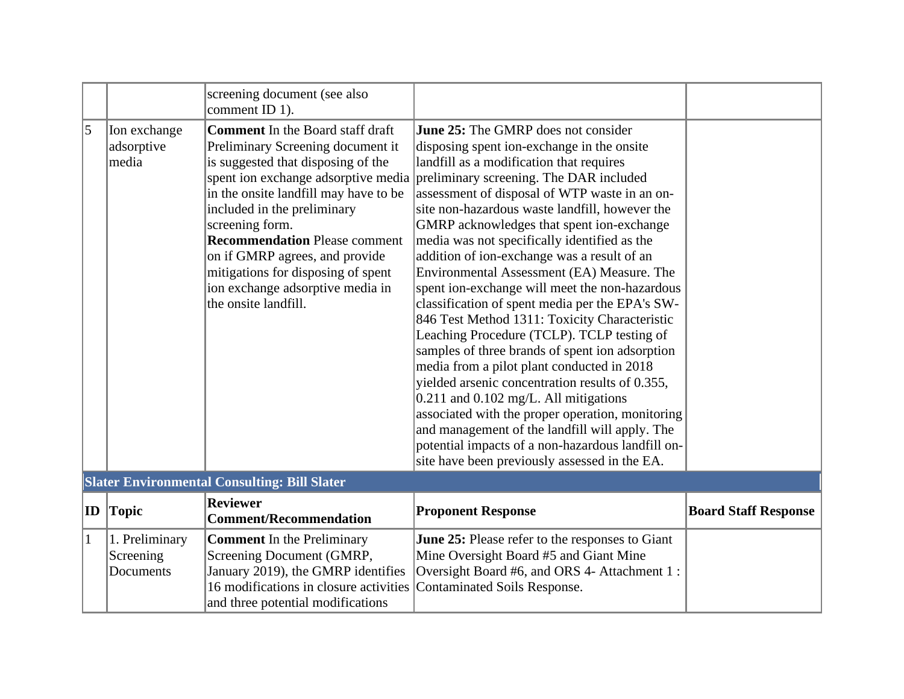|              |                                          | screening document (see also<br>comment ID 1).                                                                                                                                                                                                                                                                                                                                                                                   |                                                                                                                                                                                                                                                                                                                                                                                                                                                                                                                                                                                                                                                                                                                                                                                                                                                                                                                                                                                                                                                                                               |                             |
|--------------|------------------------------------------|----------------------------------------------------------------------------------------------------------------------------------------------------------------------------------------------------------------------------------------------------------------------------------------------------------------------------------------------------------------------------------------------------------------------------------|-----------------------------------------------------------------------------------------------------------------------------------------------------------------------------------------------------------------------------------------------------------------------------------------------------------------------------------------------------------------------------------------------------------------------------------------------------------------------------------------------------------------------------------------------------------------------------------------------------------------------------------------------------------------------------------------------------------------------------------------------------------------------------------------------------------------------------------------------------------------------------------------------------------------------------------------------------------------------------------------------------------------------------------------------------------------------------------------------|-----------------------------|
| 5            | Ion exchange<br>adsorptive<br>media      | <b>Comment</b> In the Board staff draft<br>Preliminary Screening document it<br>is suggested that disposing of the<br>spent ion exchange adsorptive media<br>in the onsite landfill may have to be<br>included in the preliminary<br>screening form.<br><b>Recommendation Please comment</b><br>on if GMRP agrees, and provide<br>mitigations for disposing of spent<br>ion exchange adsorptive media in<br>the onsite landfill. | <b>June 25:</b> The GMRP does not consider<br>disposing spent ion-exchange in the onsite<br>landfill as a modification that requires<br>preliminary screening. The DAR included<br>assessment of disposal of WTP waste in an on-<br>site non-hazardous waste landfill, however the<br>GMRP acknowledges that spent ion-exchange<br>media was not specifically identified as the<br>addition of ion-exchange was a result of an<br>Environmental Assessment (EA) Measure. The<br>spent ion-exchange will meet the non-hazardous<br>classification of spent media per the EPA's SW-<br>846 Test Method 1311: Toxicity Characteristic<br>Leaching Procedure (TCLP). TCLP testing of<br>samples of three brands of spent ion adsorption<br>media from a pilot plant conducted in 2018<br>yielded arsenic concentration results of 0.355,<br>$0.211$ and $0.102$ mg/L. All mitigations<br>associated with the proper operation, monitoring<br>and management of the landfill will apply. The<br>potential impacts of a non-hazardous landfill on-<br>site have been previously assessed in the EA. |                             |
|              |                                          | <b>Slater Environmental Consulting: Bill Slater</b>                                                                                                                                                                                                                                                                                                                                                                              |                                                                                                                                                                                                                                                                                                                                                                                                                                                                                                                                                                                                                                                                                                                                                                                                                                                                                                                                                                                                                                                                                               |                             |
| ID           | <b>Topic</b>                             | <b>Reviewer</b><br><b>Comment/Recommendation</b>                                                                                                                                                                                                                                                                                                                                                                                 | <b>Proponent Response</b>                                                                                                                                                                                                                                                                                                                                                                                                                                                                                                                                                                                                                                                                                                                                                                                                                                                                                                                                                                                                                                                                     | <b>Board Staff Response</b> |
| $\mathbf{1}$ | 1. Preliminary<br>Screening<br>Documents | <b>Comment</b> In the Preliminary<br>Screening Document (GMRP,<br>January 2019), the GMRP identifies<br>16 modifications in closure activities<br>and three potential modifications                                                                                                                                                                                                                                              | <b>June 25:</b> Please refer to the responses to Giant<br>Mine Oversight Board #5 and Giant Mine<br>Oversight Board #6, and ORS 4- Attachment 1:<br>Contaminated Soils Response.                                                                                                                                                                                                                                                                                                                                                                                                                                                                                                                                                                                                                                                                                                                                                                                                                                                                                                              |                             |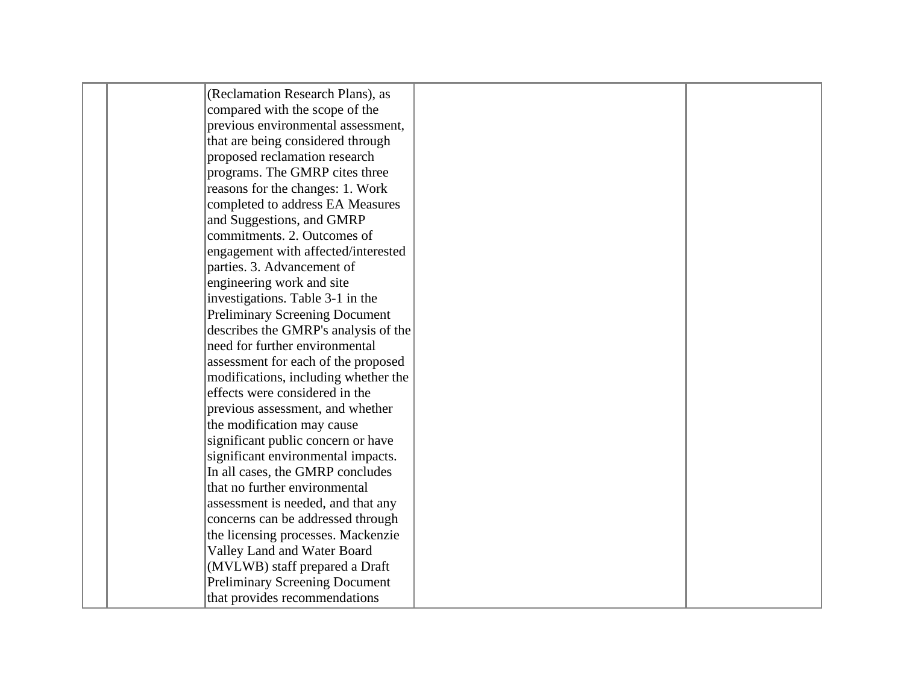| (Reclamation Research Plans), as      |  |
|---------------------------------------|--|
| compared with the scope of the        |  |
| previous environmental assessment,    |  |
| that are being considered through     |  |
| proposed reclamation research         |  |
| programs. The GMRP cites three        |  |
| reasons for the changes: 1. Work      |  |
| completed to address EA Measures      |  |
| and Suggestions, and GMRP             |  |
| commitments. 2. Outcomes of           |  |
| engagement with affected/interested   |  |
| parties. 3. Advancement of            |  |
| engineering work and site             |  |
| investigations. Table 3-1 in the      |  |
| <b>Preliminary Screening Document</b> |  |
| describes the GMRP's analysis of the  |  |
| need for further environmental        |  |
| assessment for each of the proposed   |  |
| modifications, including whether the  |  |
| effects were considered in the        |  |
| previous assessment, and whether      |  |
| the modification may cause            |  |
| significant public concern or have    |  |
| significant environmental impacts.    |  |
| In all cases, the GMRP concludes      |  |
| that no further environmental         |  |
| assessment is needed, and that any    |  |
| concerns can be addressed through     |  |
| the licensing processes. Mackenzie    |  |
| Valley Land and Water Board           |  |
| (MVLWB) staff prepared a Draft        |  |
| <b>Preliminary Screening Document</b> |  |
| that provides recommendations         |  |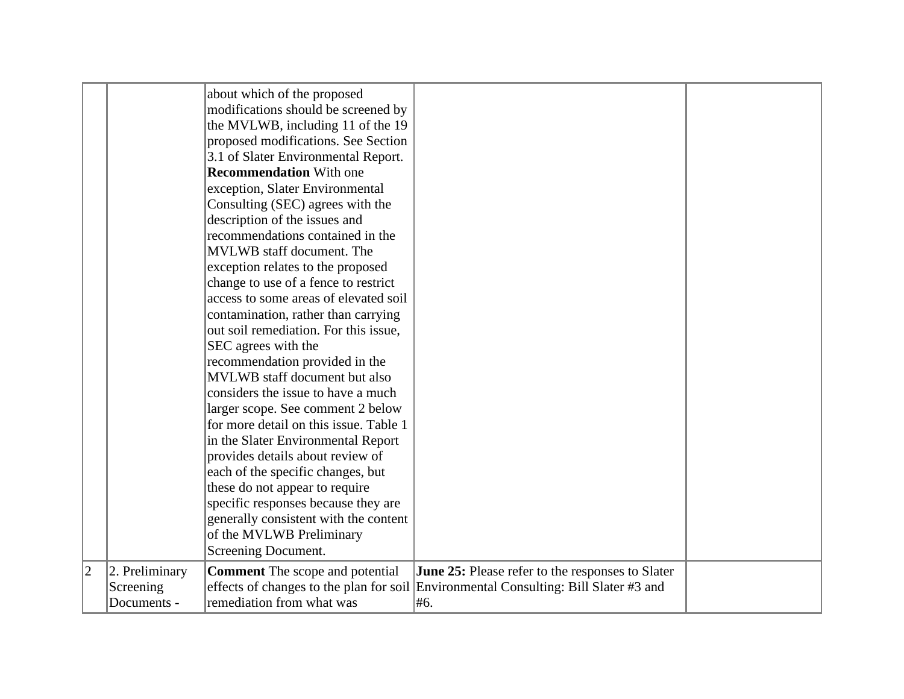|                |                                            | about which of the proposed<br>modifications should be screened by<br>the MVLWB, including 11 of the 19<br>proposed modifications. See Section<br>3.1 of Slater Environmental Report.<br><b>Recommendation With one</b><br>exception, Slater Environmental<br>Consulting (SEC) agrees with the<br>description of the issues and<br>recommendations contained in the<br>MVLWB staff document. The<br>exception relates to the proposed<br>change to use of a fence to restrict<br>access to some areas of elevated soil<br>contamination, rather than carrying<br>out soil remediation. For this issue,<br>SEC agrees with the<br>recommendation provided in the<br>MVLWB staff document but also<br>considers the issue to have a much<br>larger scope. See comment 2 below<br>for more detail on this issue. Table 1<br>in the Slater Environmental Report<br>provides details about review of |                                                                                                                                                 |  |
|----------------|--------------------------------------------|-------------------------------------------------------------------------------------------------------------------------------------------------------------------------------------------------------------------------------------------------------------------------------------------------------------------------------------------------------------------------------------------------------------------------------------------------------------------------------------------------------------------------------------------------------------------------------------------------------------------------------------------------------------------------------------------------------------------------------------------------------------------------------------------------------------------------------------------------------------------------------------------------|-------------------------------------------------------------------------------------------------------------------------------------------------|--|
|                |                                            |                                                                                                                                                                                                                                                                                                                                                                                                                                                                                                                                                                                                                                                                                                                                                                                                                                                                                                 |                                                                                                                                                 |  |
|                |                                            | each of the specific changes, but                                                                                                                                                                                                                                                                                                                                                                                                                                                                                                                                                                                                                                                                                                                                                                                                                                                               |                                                                                                                                                 |  |
|                |                                            | these do not appear to require<br>specific responses because they are                                                                                                                                                                                                                                                                                                                                                                                                                                                                                                                                                                                                                                                                                                                                                                                                                           |                                                                                                                                                 |  |
|                |                                            | generally consistent with the content<br>of the MVLWB Preliminary<br>Screening Document.                                                                                                                                                                                                                                                                                                                                                                                                                                                                                                                                                                                                                                                                                                                                                                                                        |                                                                                                                                                 |  |
| $\overline{2}$ | 2. Preliminary<br>Screening<br>Documents - | <b>Comment</b> The scope and potential<br>remediation from what was                                                                                                                                                                                                                                                                                                                                                                                                                                                                                                                                                                                                                                                                                                                                                                                                                             | June 25: Please refer to the responses to Slater<br>effects of changes to the plan for soil Environmental Consulting: Bill Slater #3 and<br>#6. |  |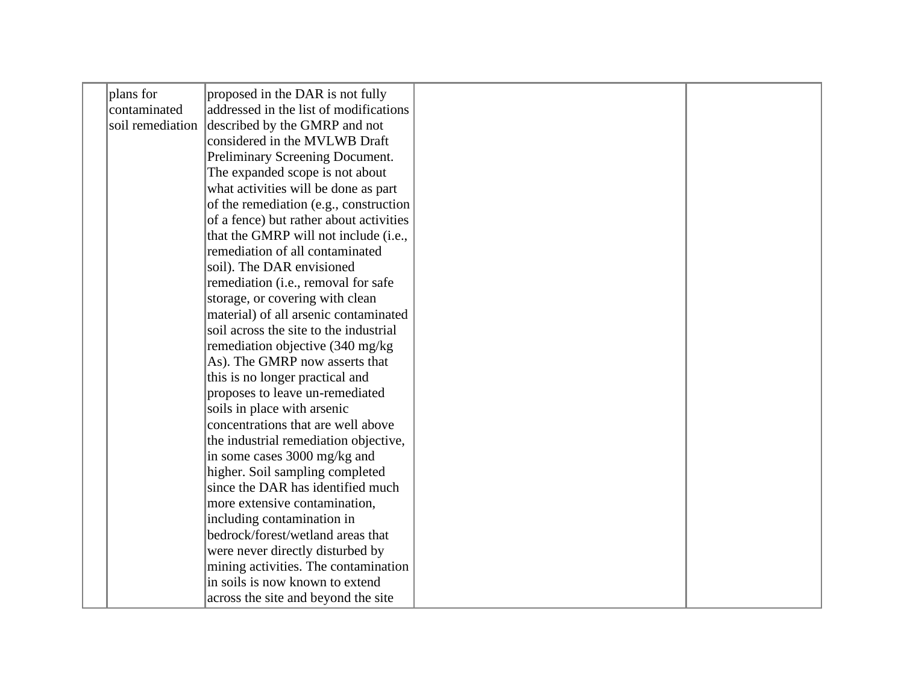| plans for        | proposed in the DAR is not fully        |  |
|------------------|-----------------------------------------|--|
| contaminated     | addressed in the list of modifications  |  |
| soil remediation | described by the GMRP and not           |  |
|                  | considered in the MVLWB Draft           |  |
|                  | Preliminary Screening Document.         |  |
|                  | The expanded scope is not about         |  |
|                  | what activities will be done as part    |  |
|                  | of the remediation (e.g., construction  |  |
|                  | of a fence) but rather about activities |  |
|                  | that the GMRP will not include (i.e.,   |  |
|                  | remediation of all contaminated         |  |
|                  | soil). The DAR envisioned               |  |
|                  | remediation (i.e., removal for safe     |  |
|                  | storage, or covering with clean         |  |
|                  | material) of all arsenic contaminated   |  |
|                  | soil across the site to the industrial  |  |
|                  | remediation objective (340 mg/kg)       |  |
|                  | As). The GMRP now asserts that          |  |
|                  | this is no longer practical and         |  |
|                  | proposes to leave un-remediated         |  |
|                  | soils in place with arsenic             |  |
|                  | concentrations that are well above      |  |
|                  | the industrial remediation objective,   |  |
|                  | in some cases 3000 mg/kg and            |  |
|                  | higher. Soil sampling completed         |  |
|                  | since the DAR has identified much       |  |
|                  | more extensive contamination,           |  |
|                  | including contamination in              |  |
|                  | bedrock/forest/wetland areas that       |  |
|                  | were never directly disturbed by        |  |
|                  | mining activities. The contamination    |  |
|                  | in soils is now known to extend         |  |
|                  | across the site and beyond the site     |  |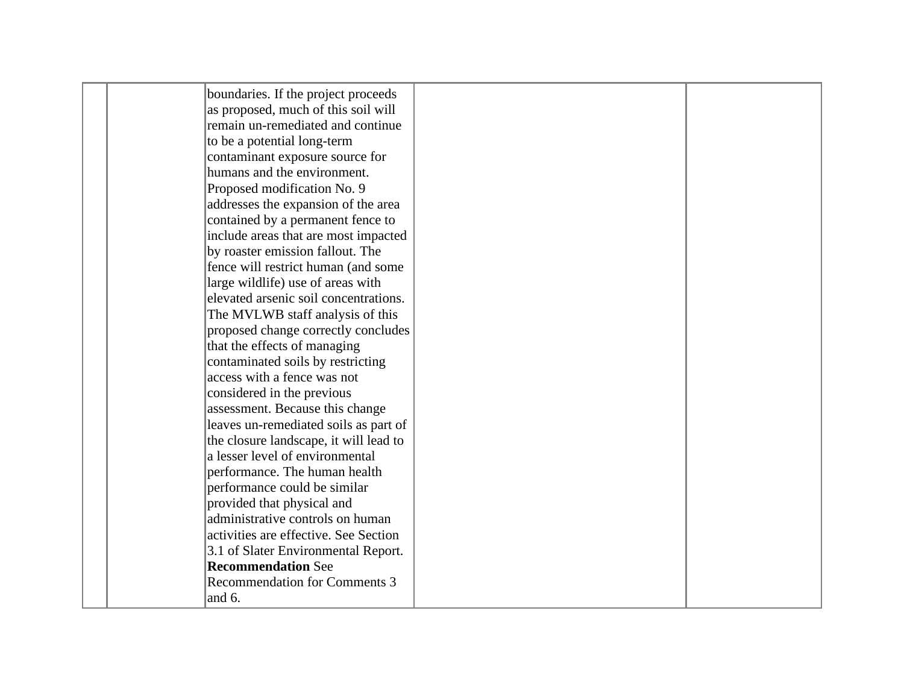| boundaries. If the project proceeds    |  |
|----------------------------------------|--|
| as proposed, much of this soil will    |  |
| remain un-remediated and continue      |  |
| to be a potential long-term            |  |
| contaminant exposure source for        |  |
| humans and the environment.            |  |
| Proposed modification No. 9            |  |
| addresses the expansion of the area    |  |
| contained by a permanent fence to      |  |
| include areas that are most impacted   |  |
| by roaster emission fallout. The       |  |
| fence will restrict human (and some    |  |
| large wildlife) use of areas with      |  |
| elevated arsenic soil concentrations.  |  |
| The MVLWB staff analysis of this       |  |
| proposed change correctly concludes    |  |
| that the effects of managing           |  |
| contaminated soils by restricting      |  |
| access with a fence was not            |  |
| considered in the previous             |  |
| assessment. Because this change        |  |
| leaves un-remediated soils as part of  |  |
| the closure landscape, it will lead to |  |
| a lesser level of environmental        |  |
| performance. The human health          |  |
| performance could be similar           |  |
| provided that physical and             |  |
| administrative controls on human       |  |
| activities are effective. See Section  |  |
| 3.1 of Slater Environmental Report.    |  |
| <b>Recommendation See</b>              |  |
| <b>Recommendation for Comments 3</b>   |  |
| and 6.                                 |  |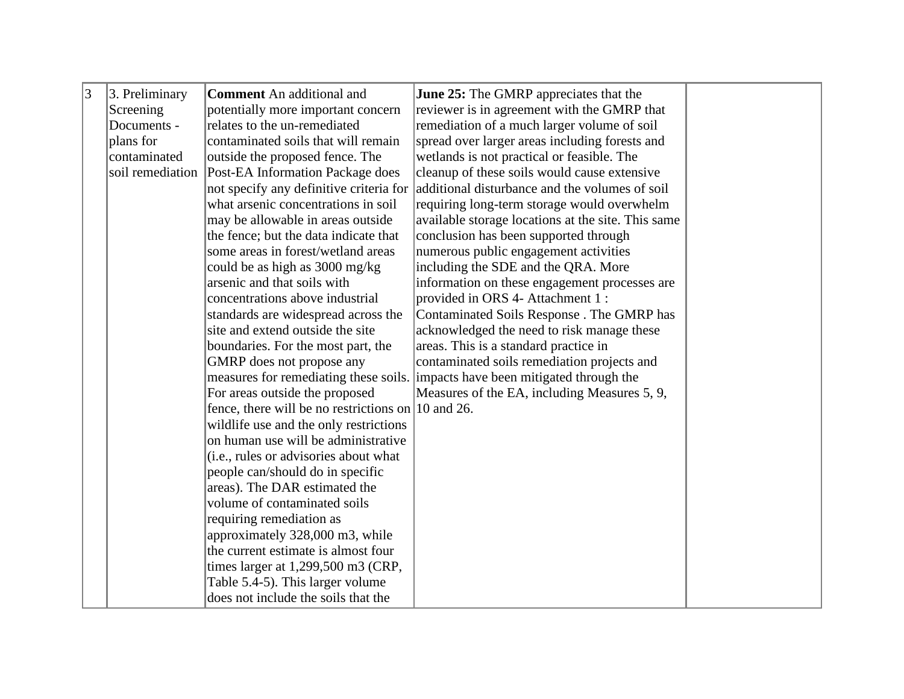| 3 | 3. Preliminary   | <b>Comment</b> An additional and                                | <b>June 25:</b> The GMRP appreciates that the                                 |  |
|---|------------------|-----------------------------------------------------------------|-------------------------------------------------------------------------------|--|
|   | Screening        | potentially more important concern                              | reviewer is in agreement with the GMRP that                                   |  |
|   | Documents -      | relates to the un-remediated                                    | remediation of a much larger volume of soil                                   |  |
|   | plans for        | contaminated soils that will remain                             | spread over larger areas including forests and                                |  |
|   | contaminated     | outside the proposed fence. The                                 | wetlands is not practical or feasible. The                                    |  |
|   | soil remediation | Post-EA Information Package does                                | cleanup of these soils would cause extensive                                  |  |
|   |                  | not specify any definitive criteria for                         | additional disturbance and the volumes of soil                                |  |
|   |                  | what arsenic concentrations in soil                             | requiring long-term storage would overwhelm                                   |  |
|   |                  | may be allowable in areas outside                               | available storage locations at the site. This same                            |  |
|   |                  | the fence; but the data indicate that                           | conclusion has been supported through                                         |  |
|   |                  | some areas in forest/wetland areas                              | numerous public engagement activities                                         |  |
|   |                  | could be as high as 3000 mg/kg                                  | including the SDE and the QRA. More                                           |  |
|   |                  | arsenic and that soils with                                     | information on these engagement processes are                                 |  |
|   |                  | concentrations above industrial                                 | provided in ORS 4- Attachment 1 :                                             |  |
|   |                  | standards are widespread across the                             | Contaminated Soils Response . The GMRP has                                    |  |
|   |                  | site and extend outside the site                                | acknowledged the need to risk manage these                                    |  |
|   |                  | boundaries. For the most part, the                              | areas. This is a standard practice in                                         |  |
|   |                  | GMRP does not propose any                                       | contaminated soils remediation projects and                                   |  |
|   |                  |                                                                 | measures for remediating these soils. impacts have been mitigated through the |  |
|   |                  | For areas outside the proposed                                  | Measures of the EA, including Measures 5, 9,                                  |  |
|   |                  | fence, there will be no restrictions on $ 10 \text{ and } 26$ . |                                                                               |  |
|   |                  | wildlife use and the only restrictions                          |                                                                               |  |
|   |                  | on human use will be administrative                             |                                                                               |  |
|   |                  | (i.e., rules or advisories about what                           |                                                                               |  |
|   |                  | people can/should do in specific                                |                                                                               |  |
|   |                  | areas). The DAR estimated the                                   |                                                                               |  |
|   |                  | volume of contaminated soils                                    |                                                                               |  |
|   |                  | requiring remediation as                                        |                                                                               |  |
|   |                  | approximately 328,000 m3, while                                 |                                                                               |  |
|   |                  | the current estimate is almost four                             |                                                                               |  |
|   |                  | times larger at 1,299,500 m3 (CRP,                              |                                                                               |  |
|   |                  | Table 5.4-5). This larger volume                                |                                                                               |  |
|   |                  | does not include the soils that the                             |                                                                               |  |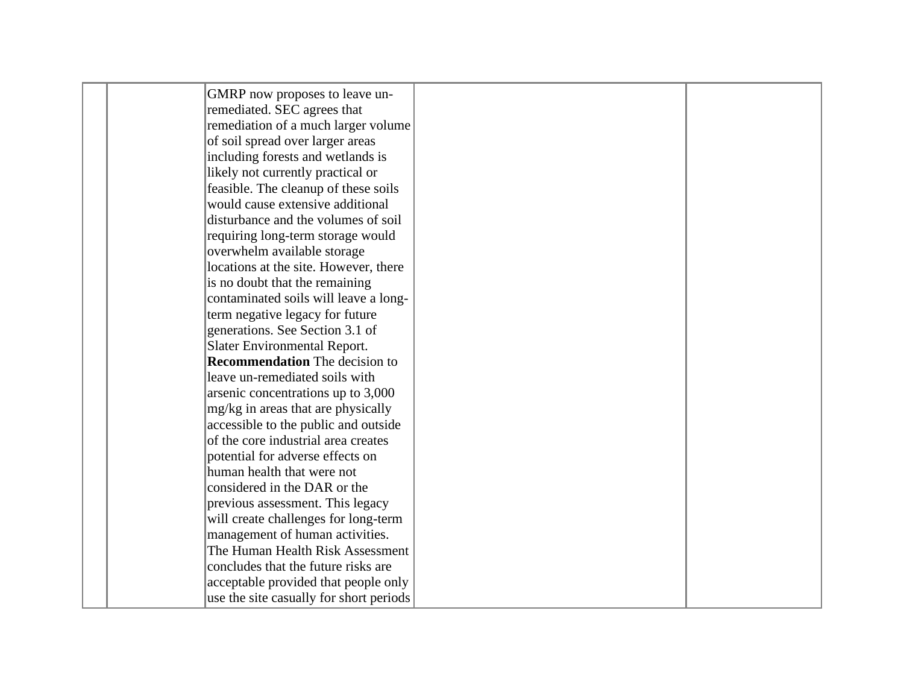| GMRP now proposes to leave un-          |  |
|-----------------------------------------|--|
| remediated. SEC agrees that             |  |
| remediation of a much larger volume     |  |
| of soil spread over larger areas        |  |
| including forests and wetlands is       |  |
| likely not currently practical or       |  |
| feasible. The cleanup of these soils    |  |
| would cause extensive additional        |  |
| disturbance and the volumes of soil     |  |
| requiring long-term storage would       |  |
| overwhelm available storage             |  |
| locations at the site. However, there   |  |
| is no doubt that the remaining          |  |
| contaminated soils will leave a long-   |  |
| term negative legacy for future         |  |
| generations. See Section 3.1 of         |  |
| Slater Environmental Report.            |  |
| <b>Recommendation</b> The decision to   |  |
| leave un-remediated soils with          |  |
| arsenic concentrations up to 3,000      |  |
| mg/kg in areas that are physically      |  |
| accessible to the public and outside    |  |
| of the core industrial area creates     |  |
| potential for adverse effects on        |  |
| human health that were not              |  |
| considered in the DAR or the            |  |
| previous assessment. This legacy        |  |
| will create challenges for long-term    |  |
| management of human activities.         |  |
| The Human Health Risk Assessment        |  |
| concludes that the future risks are     |  |
| acceptable provided that people only    |  |
| use the site casually for short periods |  |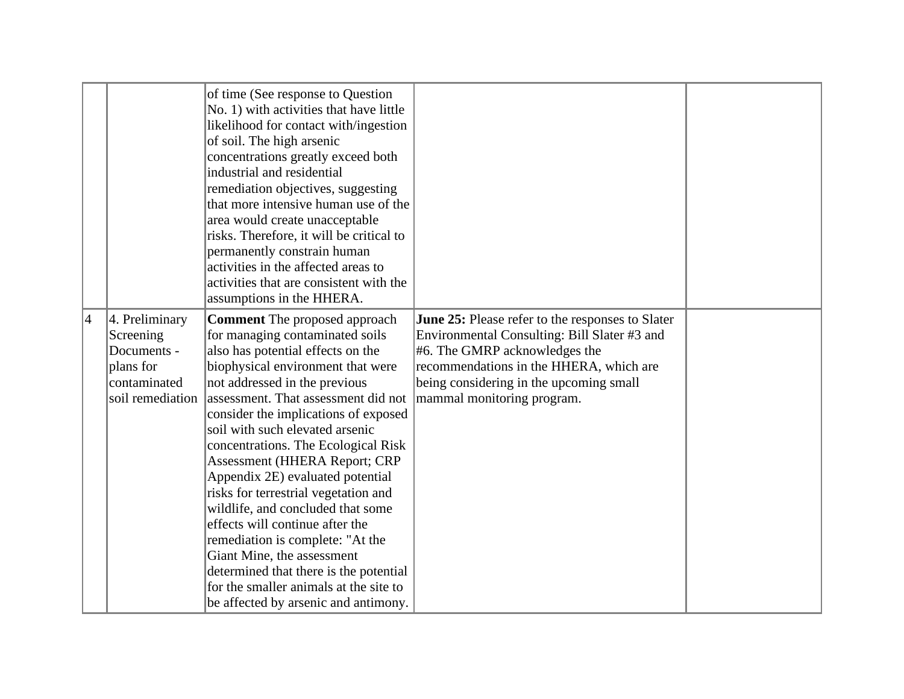|                |                                                                                             | of time (See response to Question<br>No. 1) with activities that have little<br>likelihood for contact with/ingestion<br>of soil. The high arsenic<br>concentrations greatly exceed both<br>industrial and residential<br>remediation objectives, suggesting<br>that more intensive human use of the<br>area would create unacceptable<br>risks. Therefore, it will be critical to<br>permanently constrain human<br>activities in the affected areas to<br>activities that are consistent with the<br>assumptions in the HHERA.                                                                                                                                                                                                      |                                                                                                                                                                                                                                                          |  |
|----------------|---------------------------------------------------------------------------------------------|---------------------------------------------------------------------------------------------------------------------------------------------------------------------------------------------------------------------------------------------------------------------------------------------------------------------------------------------------------------------------------------------------------------------------------------------------------------------------------------------------------------------------------------------------------------------------------------------------------------------------------------------------------------------------------------------------------------------------------------|----------------------------------------------------------------------------------------------------------------------------------------------------------------------------------------------------------------------------------------------------------|--|
| $\overline{4}$ | 4. Preliminary<br>Screening<br>Documents -<br>plans for<br>contaminated<br>soil remediation | <b>Comment</b> The proposed approach<br>for managing contaminated soils<br>also has potential effects on the<br>biophysical environment that were<br>not addressed in the previous<br>assessment. That assessment did not<br>consider the implications of exposed<br>soil with such elevated arsenic<br>concentrations. The Ecological Risk<br><b>Assessment (HHERA Report; CRP</b><br>Appendix 2E) evaluated potential<br>risks for terrestrial vegetation and<br>wildlife, and concluded that some<br>effects will continue after the<br>remediation is complete: "At the<br>Giant Mine, the assessment<br>determined that there is the potential<br>for the smaller animals at the site to<br>be affected by arsenic and antimony. | June 25: Please refer to the responses to Slater<br>Environmental Consulting: Bill Slater #3 and<br>$#6$ . The GMRP acknowledges the<br>recommendations in the HHERA, which are<br>being considering in the upcoming small<br>mammal monitoring program. |  |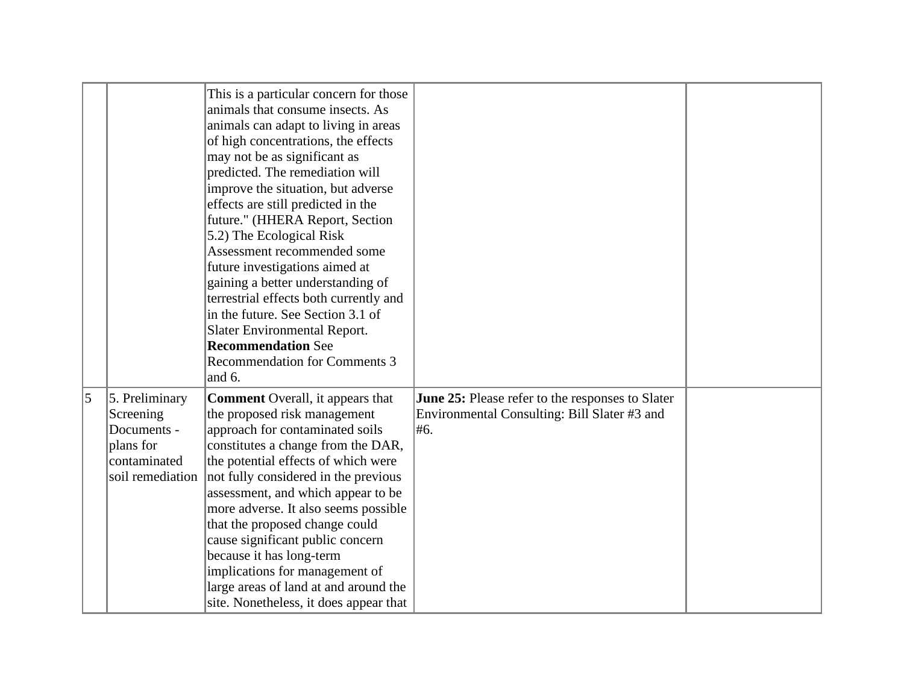|           |                                                                                             | This is a particular concern for those<br>animals that consume insects. As<br>animals can adapt to living in areas<br>of high concentrations, the effects<br>may not be as significant as<br>predicted. The remediation will<br>improve the situation, but adverse<br>effects are still predicted in the<br>future." (HHERA Report, Section<br>5.2) The Ecological Risk<br>Assessment recommended some<br>future investigations aimed at<br>gaining a better understanding of<br>terrestrial effects both currently and<br>in the future. See Section 3.1 of<br><b>Slater Environmental Report.</b><br><b>Recommendation See</b><br>Recommendation for Comments 3<br>and 6. |                                                                                                         |  |
|-----------|---------------------------------------------------------------------------------------------|-----------------------------------------------------------------------------------------------------------------------------------------------------------------------------------------------------------------------------------------------------------------------------------------------------------------------------------------------------------------------------------------------------------------------------------------------------------------------------------------------------------------------------------------------------------------------------------------------------------------------------------------------------------------------------|---------------------------------------------------------------------------------------------------------|--|
| $\vert$ 5 | 5. Preliminary<br>Screening<br>Documents -<br>plans for<br>contaminated<br>soil remediation | <b>Comment</b> Overall, it appears that<br>the proposed risk management<br>approach for contaminated soils<br>constitutes a change from the DAR,<br>the potential effects of which were<br>not fully considered in the previous<br>assessment, and which appear to be<br>more adverse. It also seems possible<br>that the proposed change could<br>cause significant public concern<br>because it has long-term<br>implications for management of<br>large areas of land at and around the<br>site. Nonetheless, it does appear that                                                                                                                                        | June 25: Please refer to the responses to Slater<br>Environmental Consulting: Bill Slater #3 and<br>#6. |  |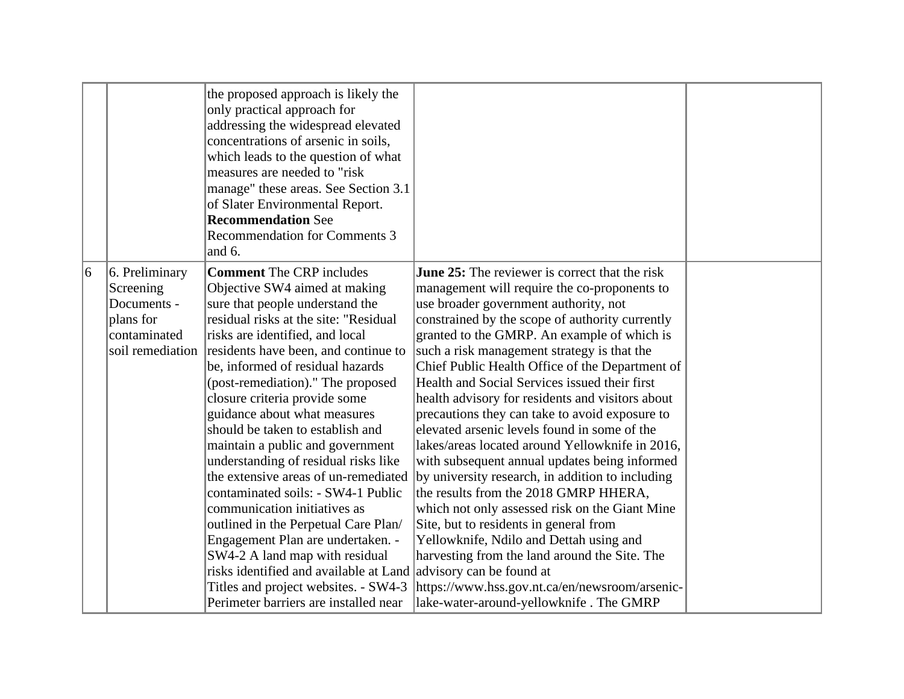|   |                                                                                             | the proposed approach is likely the<br>only practical approach for<br>addressing the widespread elevated<br>concentrations of arsenic in soils,<br>which leads to the question of what<br>measures are needed to "risk<br>manage" these areas. See Section 3.1<br>of Slater Environmental Report.<br><b>Recommendation See</b><br><b>Recommendation for Comments 3</b><br>and 6.                                                                                                                                                                                                                                                                                                                                                                                                                                                          |                                                                                                                                                                                                                                                                                                                                                                                                                                                                                                                                                                                                                                                                                                                                                                                                                                                                                                                                                                                                                                                                             |  |
|---|---------------------------------------------------------------------------------------------|-------------------------------------------------------------------------------------------------------------------------------------------------------------------------------------------------------------------------------------------------------------------------------------------------------------------------------------------------------------------------------------------------------------------------------------------------------------------------------------------------------------------------------------------------------------------------------------------------------------------------------------------------------------------------------------------------------------------------------------------------------------------------------------------------------------------------------------------|-----------------------------------------------------------------------------------------------------------------------------------------------------------------------------------------------------------------------------------------------------------------------------------------------------------------------------------------------------------------------------------------------------------------------------------------------------------------------------------------------------------------------------------------------------------------------------------------------------------------------------------------------------------------------------------------------------------------------------------------------------------------------------------------------------------------------------------------------------------------------------------------------------------------------------------------------------------------------------------------------------------------------------------------------------------------------------|--|
| 6 | 6. Preliminary<br>Screening<br>Documents -<br>plans for<br>contaminated<br>soil remediation | <b>Comment</b> The CRP includes<br>Objective SW4 aimed at making<br>sure that people understand the<br>residual risks at the site: "Residual<br>risks are identified, and local<br>residents have been, and continue to<br>be, informed of residual hazards<br>(post-remediation)." The proposed<br>closure criteria provide some<br>guidance about what measures<br>should be taken to establish and<br>maintain a public and government<br>understanding of residual risks like<br>the extensive areas of un-remediated<br>contaminated soils: - SW4-1 Public<br>communication initiatives as<br>outlined in the Perpetual Care Plan/<br>Engagement Plan are undertaken. -<br>SW4-2 A land map with residual<br>risks identified and available at Land<br>Titles and project websites. - SW4-3<br>Perimeter barriers are installed near | <b>June 25:</b> The reviewer is correct that the risk<br>management will require the co-proponents to<br>use broader government authority, not<br>constrained by the scope of authority currently<br>granted to the GMRP. An example of which is<br>such a risk management strategy is that the<br>Chief Public Health Office of the Department of<br>Health and Social Services issued their first<br>health advisory for residents and visitors about<br>precautions they can take to avoid exposure to<br>elevated arsenic levels found in some of the<br>lakes/areas located around Yellowknife in 2016,<br>with subsequent annual updates being informed<br>by university research, in addition to including<br>the results from the 2018 GMRP HHERA,<br>which not only assessed risk on the Giant Mine<br>Site, but to residents in general from<br>Yellowknife, Ndilo and Dettah using and<br>harvesting from the land around the Site. The<br>advisory can be found at<br>https://www.hss.gov.nt.ca/en/newsroom/arsenic-<br>lake-water-around-yellowknife. The GMRP |  |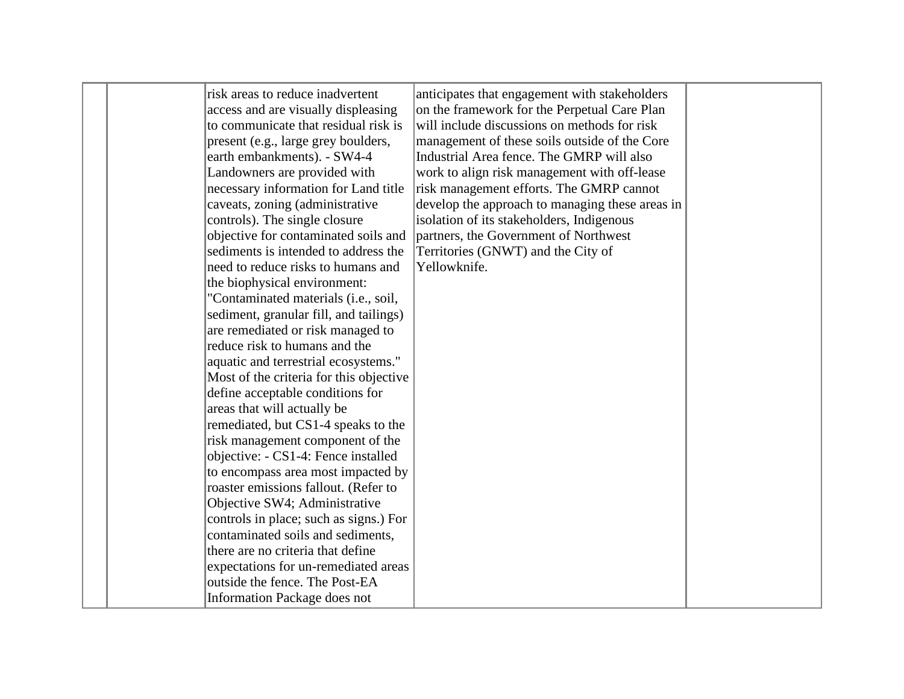|  | risk areas to reduce inadvertent        | anticipates that engagement with stakeholders   |  |
|--|-----------------------------------------|-------------------------------------------------|--|
|  | access and are visually displeasing     | on the framework for the Perpetual Care Plan    |  |
|  | to communicate that residual risk is    | will include discussions on methods for risk    |  |
|  | present (e.g., large grey boulders,     | management of these soils outside of the Core   |  |
|  | earth embankments). - SW4-4             | Industrial Area fence. The GMRP will also       |  |
|  | Landowners are provided with            | work to align risk management with off-lease    |  |
|  | necessary information for Land title    | risk management efforts. The GMRP cannot        |  |
|  | caveats, zoning (administrative         | develop the approach to managing these areas in |  |
|  | controls). The single closure           | isolation of its stakeholders, Indigenous       |  |
|  | objective for contaminated soils and    | partners, the Government of Northwest           |  |
|  | sediments is intended to address the    | Territories (GNWT) and the City of              |  |
|  | need to reduce risks to humans and      | Yellowknife.                                    |  |
|  | the biophysical environment:            |                                                 |  |
|  | "Contaminated materials (i.e., soil,    |                                                 |  |
|  | sediment, granular fill, and tailings)  |                                                 |  |
|  | are remediated or risk managed to       |                                                 |  |
|  | reduce risk to humans and the           |                                                 |  |
|  | aquatic and terrestrial ecosystems."    |                                                 |  |
|  | Most of the criteria for this objective |                                                 |  |
|  | define acceptable conditions for        |                                                 |  |
|  | areas that will actually be             |                                                 |  |
|  | remediated, but CS1-4 speaks to the     |                                                 |  |
|  | risk management component of the        |                                                 |  |
|  | objective: - CS1-4: Fence installed     |                                                 |  |
|  | to encompass area most impacted by      |                                                 |  |
|  | roaster emissions fallout. (Refer to    |                                                 |  |
|  | Objective SW4; Administrative           |                                                 |  |
|  | controls in place; such as signs.) For  |                                                 |  |
|  | contaminated soils and sediments,       |                                                 |  |
|  | there are no criteria that define       |                                                 |  |
|  | expectations for un-remediated areas    |                                                 |  |
|  | outside the fence. The Post-EA          |                                                 |  |
|  | <b>Information Package does not</b>     |                                                 |  |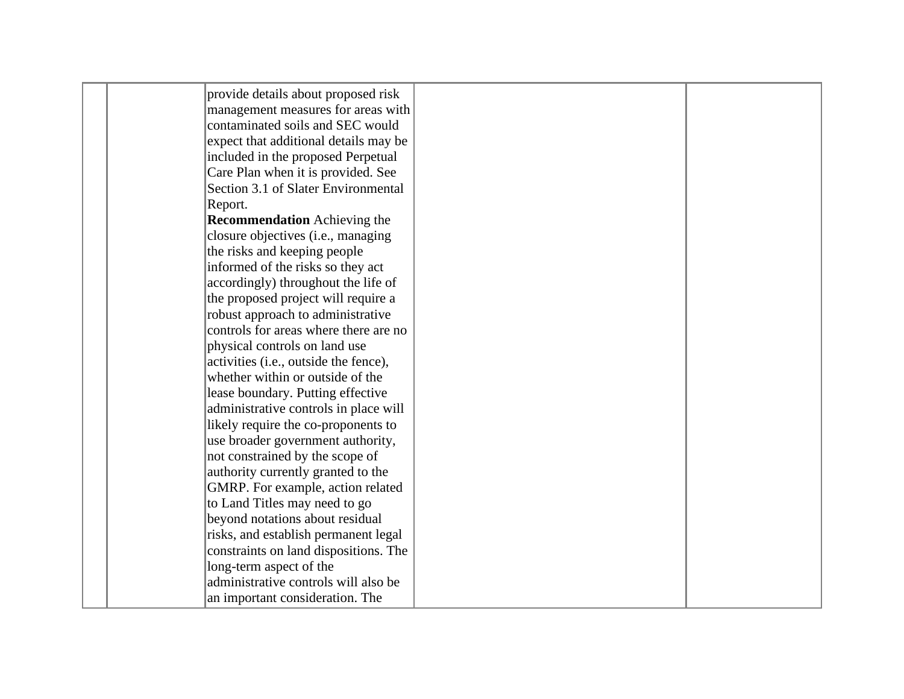| provide details about proposed risk   |  |  |
|---------------------------------------|--|--|
| management measures for areas with    |  |  |
| contaminated soils and SEC would      |  |  |
| expect that additional details may be |  |  |
| included in the proposed Perpetual    |  |  |
| Care Plan when it is provided. See    |  |  |
| Section 3.1 of Slater Environmental   |  |  |
| Report.                               |  |  |
| <b>Recommendation</b> Achieving the   |  |  |
| closure objectives (i.e., managing    |  |  |
| the risks and keeping people          |  |  |
| informed of the risks so they act     |  |  |
| accordingly) throughout the life of   |  |  |
| the proposed project will require a   |  |  |
| robust approach to administrative     |  |  |
| controls for areas where there are no |  |  |
| physical controls on land use         |  |  |
| activities (i.e., outside the fence), |  |  |
| whether within or outside of the      |  |  |
| lease boundary. Putting effective     |  |  |
| administrative controls in place will |  |  |
| likely require the co-proponents to   |  |  |
| use broader government authority,     |  |  |
| not constrained by the scope of       |  |  |
| authority currently granted to the    |  |  |
| GMRP. For example, action related     |  |  |
| to Land Titles may need to go         |  |  |
| beyond notations about residual       |  |  |
| risks, and establish permanent legal  |  |  |
| constraints on land dispositions. The |  |  |
| long-term aspect of the               |  |  |
| administrative controls will also be  |  |  |
| an important consideration. The       |  |  |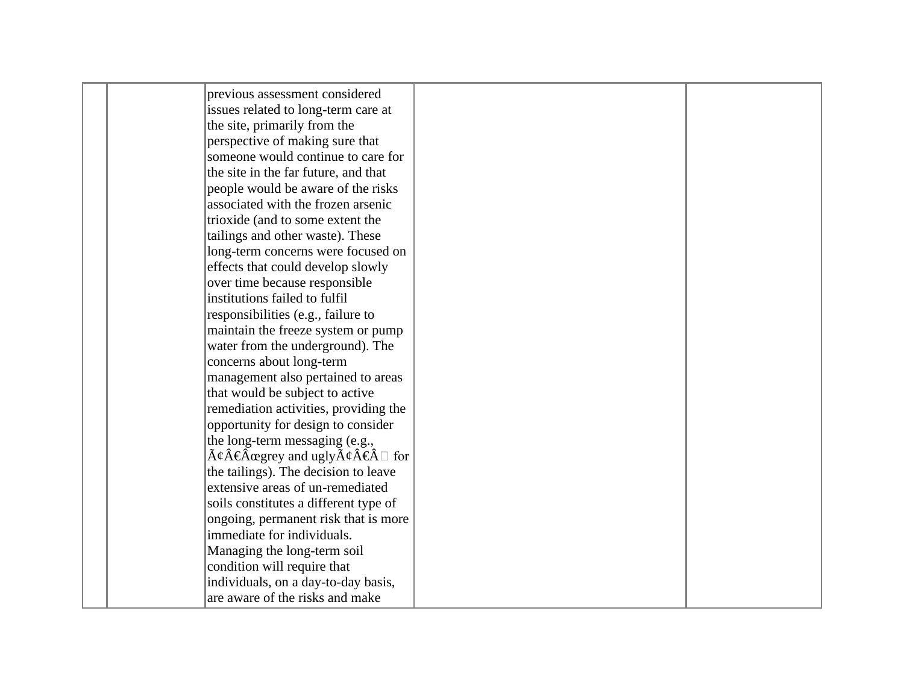|  | previous assessment considered                                                                             |  |
|--|------------------------------------------------------------------------------------------------------------|--|
|  | issues related to long-term care at                                                                        |  |
|  | the site, primarily from the                                                                               |  |
|  | perspective of making sure that                                                                            |  |
|  | someone would continue to care for                                                                         |  |
|  | the site in the far future, and that                                                                       |  |
|  | people would be aware of the risks                                                                         |  |
|  | associated with the frozen arsenic                                                                         |  |
|  | trioxide (and to some extent the                                                                           |  |
|  | tailings and other waste). These                                                                           |  |
|  | long-term concerns were focused on                                                                         |  |
|  | effects that could develop slowly                                                                          |  |
|  | over time because responsible                                                                              |  |
|  | institutions failed to fulfil                                                                              |  |
|  | responsibilities (e.g., failure to                                                                         |  |
|  | maintain the freeze system or pump                                                                         |  |
|  | water from the underground). The                                                                           |  |
|  | concerns about long-term                                                                                   |  |
|  | management also pertained to areas                                                                         |  |
|  | that would be subject to active                                                                            |  |
|  | remediation activities, providing the                                                                      |  |
|  | opportunity for design to consider                                                                         |  |
|  | the long-term messaging (e.g.,                                                                             |  |
|  | $\tilde{A}\psi\hat{A}\hat{\in} \hat{A}$ ægrey and ugly $\tilde{A}\psi\hat{A}\hat{\in} \hat{A} \square$ for |  |
|  | the tailings). The decision to leave                                                                       |  |
|  | extensive areas of un-remediated                                                                           |  |
|  | soils constitutes a different type of                                                                      |  |
|  | ongoing, permanent risk that is more                                                                       |  |
|  | immediate for individuals.                                                                                 |  |
|  | Managing the long-term soil                                                                                |  |
|  | condition will require that                                                                                |  |
|  | individuals, on a day-to-day basis,                                                                        |  |
|  | are aware of the risks and make                                                                            |  |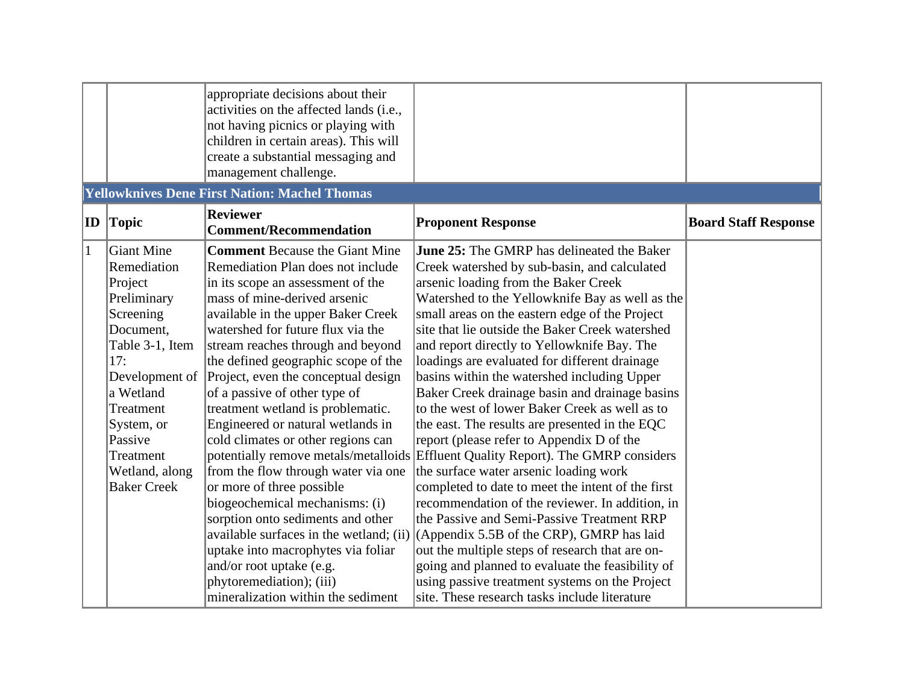|              |                             | appropriate decisions about their<br>activities on the affected lands (i.e.,<br>not having picnics or playing with<br>children in certain areas). This will<br>create a substantial messaging and<br>management challenge.<br><b>Yellowknives Dene First Nation: Machel Thomas</b> |                                                                                               |                             |
|--------------|-----------------------------|------------------------------------------------------------------------------------------------------------------------------------------------------------------------------------------------------------------------------------------------------------------------------------|-----------------------------------------------------------------------------------------------|-----------------------------|
|              |                             | <b>Reviewer</b>                                                                                                                                                                                                                                                                    |                                                                                               |                             |
| ID           | Topic                       | <b>Comment/Recommendation</b>                                                                                                                                                                                                                                                      | <b>Proponent Response</b>                                                                     | <b>Board Staff Response</b> |
| $\mathbf{1}$ | Giant Mine                  | <b>Comment Because the Giant Mine</b>                                                                                                                                                                                                                                              | <b>June 25:</b> The GMRP has delineated the Baker                                             |                             |
|              | Remediation                 | Remediation Plan does not include                                                                                                                                                                                                                                                  | Creek watershed by sub-basin, and calculated                                                  |                             |
|              | Project                     | in its scope an assessment of the                                                                                                                                                                                                                                                  | arsenic loading from the Baker Creek                                                          |                             |
|              | Preliminary                 | mass of mine-derived arsenic                                                                                                                                                                                                                                                       | Watershed to the Yellowknife Bay as well as the                                               |                             |
|              | Screening                   | available in the upper Baker Creek                                                                                                                                                                                                                                                 | small areas on the eastern edge of the Project                                                |                             |
|              | Document,                   | watershed for future flux via the                                                                                                                                                                                                                                                  | site that lie outside the Baker Creek watershed                                               |                             |
|              | Table 3-1, Item<br>17:      | stream reaches through and beyond                                                                                                                                                                                                                                                  | and report directly to Yellowknife Bay. The                                                   |                             |
|              |                             | the defined geographic scope of the                                                                                                                                                                                                                                                | loadings are evaluated for different drainage                                                 |                             |
|              | Development of<br>a Wetland | Project, even the conceptual design<br>of a passive of other type of                                                                                                                                                                                                               | basins within the watershed including Upper<br>Baker Creek drainage basin and drainage basins |                             |
|              | Treatment                   | treatment wetland is problematic.                                                                                                                                                                                                                                                  | to the west of lower Baker Creek as well as to                                                |                             |
|              | System, or                  | Engineered or natural wetlands in                                                                                                                                                                                                                                                  | the east. The results are presented in the EQC                                                |                             |
|              | Passive                     | cold climates or other regions can                                                                                                                                                                                                                                                 | report (please refer to Appendix D of the                                                     |                             |
|              | Treatment                   |                                                                                                                                                                                                                                                                                    | potentially remove metals/metalloids Effluent Quality Report). The GMRP considers             |                             |
|              | Wetland, along              | from the flow through water via one                                                                                                                                                                                                                                                | the surface water arsenic loading work                                                        |                             |
|              | <b>Baker Creek</b>          | or more of three possible                                                                                                                                                                                                                                                          | completed to date to meet the intent of the first                                             |                             |
|              |                             | biogeochemical mechanisms: (i)                                                                                                                                                                                                                                                     | recommendation of the reviewer. In addition, in                                               |                             |
|              |                             | sorption onto sediments and other                                                                                                                                                                                                                                                  | the Passive and Semi-Passive Treatment RRP                                                    |                             |
|              |                             | available surfaces in the wetland; (ii)                                                                                                                                                                                                                                            | (Appendix 5.5B of the CRP), GMRP has laid                                                     |                             |
|              |                             | uptake into macrophytes via foliar                                                                                                                                                                                                                                                 | out the multiple steps of research that are on-                                               |                             |
|              |                             | and/or root uptake (e.g.                                                                                                                                                                                                                                                           | going and planned to evaluate the feasibility of                                              |                             |
|              |                             | phytoremediation); (iii)                                                                                                                                                                                                                                                           | using passive treatment systems on the Project                                                |                             |
|              |                             | mineralization within the sediment                                                                                                                                                                                                                                                 | site. These research tasks include literature                                                 |                             |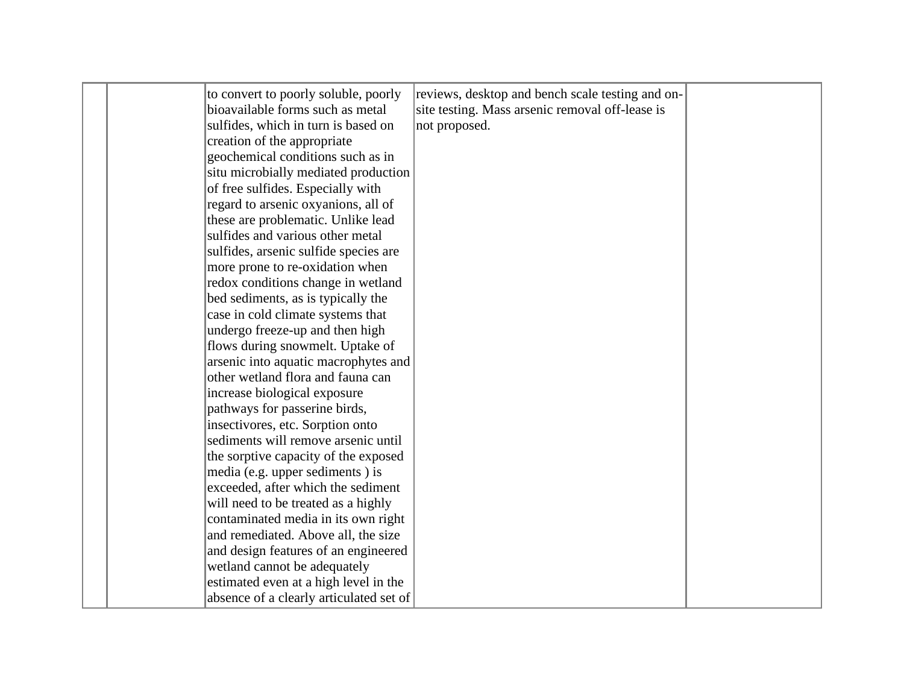|  | to convert to poorly soluble, poorly    | reviews, desktop and bench scale testing and on- |  |
|--|-----------------------------------------|--------------------------------------------------|--|
|  | bioavailable forms such as metal        | site testing. Mass arsenic removal off-lease is  |  |
|  | sulfides, which in turn is based on     | not proposed.                                    |  |
|  | creation of the appropriate             |                                                  |  |
|  | geochemical conditions such as in       |                                                  |  |
|  | situ microbially mediated production    |                                                  |  |
|  | of free sulfides. Especially with       |                                                  |  |
|  | regard to arsenic oxyanions, all of     |                                                  |  |
|  | these are problematic. Unlike lead      |                                                  |  |
|  | sulfides and various other metal        |                                                  |  |
|  | sulfides, arsenic sulfide species are   |                                                  |  |
|  | more prone to re-oxidation when         |                                                  |  |
|  | redox conditions change in wetland      |                                                  |  |
|  | bed sediments, as is typically the      |                                                  |  |
|  | case in cold climate systems that       |                                                  |  |
|  | undergo freeze-up and then high         |                                                  |  |
|  | flows during snowmelt. Uptake of        |                                                  |  |
|  | arsenic into aquatic macrophytes and    |                                                  |  |
|  | other wetland flora and fauna can       |                                                  |  |
|  | increase biological exposure            |                                                  |  |
|  | pathways for passerine birds,           |                                                  |  |
|  | insectivores, etc. Sorption onto        |                                                  |  |
|  | sediments will remove arsenic until     |                                                  |  |
|  | the sorptive capacity of the exposed    |                                                  |  |
|  | media (e.g. upper sediments) is         |                                                  |  |
|  | exceeded, after which the sediment      |                                                  |  |
|  | will need to be treated as a highly     |                                                  |  |
|  | contaminated media in its own right     |                                                  |  |
|  | and remediated. Above all, the size     |                                                  |  |
|  | and design features of an engineered    |                                                  |  |
|  | wetland cannot be adequately            |                                                  |  |
|  | estimated even at a high level in the   |                                                  |  |
|  | absence of a clearly articulated set of |                                                  |  |